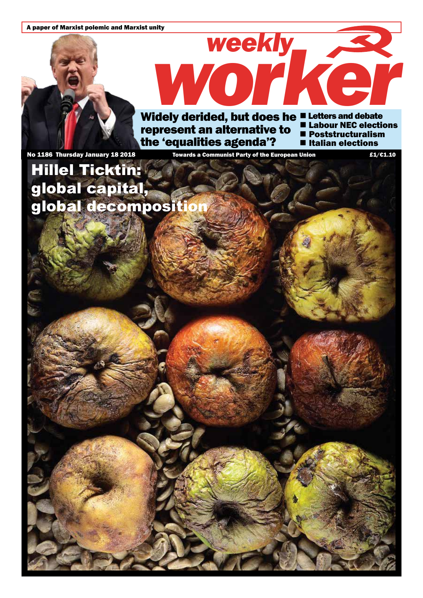#### A paper of Marxist polemic and Marxist unity





No 1186 Thursday January 18 2018 Towards a Communist Party of the European Union £1/€1.10

## Hillel Ticktin: global capital, global decompositio

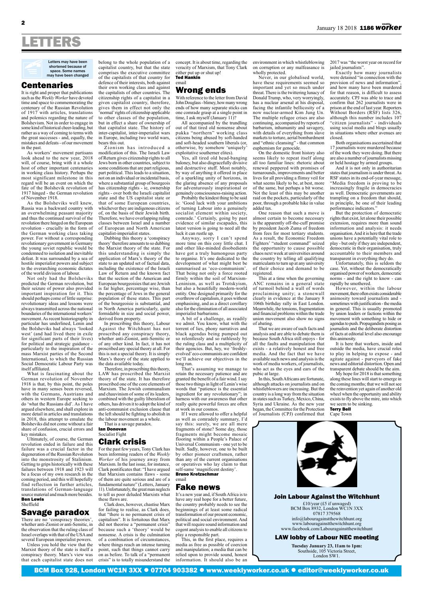

### LETTERS

#### Centenaries

It is right and proper that publications such as the *Weekly Worker* have devoted time and space to commemorating the centenary of the Russian Revolution of 1917 with articles, translations and polemics regarding the nature of Bolshevism. Not in order to engage in some kind of historical cheer-leading, but rather as a way of coming to terms with the great successes - and, equally, the mistakes and defeats - of our movement in the past.

As workers' movement partisans look ahead to the new year, 2018 will, of course, bring with it a whole host of other important centenaries in working class history. Perhaps the most significant milestone in this regard will be an event on which the fate of the Bolshevik revolution of 1917 hinged - the German revolution of November 1918.

As the Bolsheviks well knew, Russia was a backward country with an overwhelming peasant majority and thus the continued survival of the revolution there hinged on the European revolution - crucially in the form of the German working class taking power. For without a corresponding revolutionary government in Germany the young soviet republic would be condemned to isolation and inevitable defeat. It was surrounded by a sea of hostile imperialist powers and subject to the overarching economic dictates of the world division of labour.

There are no 'conspiracy theories', whether anti-Zionist or anti-Semitic, in the observation that the ruling class of Israel overlaps with that of the USA and several European imperialist powers.

Not only had the Bolsheviks predicted the German revolution, but their seizure of power also provided important inspiration for it. This should perhaps come of little surprise: revolutionary ideas and lessons were always transmitted across the national boundaries of the international workers' movement. As recent historiography in particular has underlined, Lenin and the Bolsheviks had always 'looked west' (and had lived there in exile for significant parts of their lives) for political and strategic guidance particularly to the inspiration of the mass Marxist parties of the Second International, to which the Russian Social Democratic Labour Party was itself affiliated.

What is fascinating about the German revolution of November 1918 is that, by this point, the poles have in many senses been reversed, with the Germans, Austrians and others in western Europe seeking to do 'what the Russians did'. As I have argued elsewhere, and shall explore in more detail in articles and translations in 2018, this attempt to emulate the Bolsheviks did not come without a fair share of confusion, crucial errors and key mistakes.

Ultimately, of course, the German revolution ended in failure and this

degeneration of the Russian Revolution into the monstrosity of Stalinism. Getting to grips historically with these failures between 1918 and 1923 will be a focus of my own research in the coming period, and this will hopefully find reflection in further articles, translations of German-language source material and much more besides. Ben Lewis

Sheffield

#### Savage paradox

Unless you hold the view that the Marxist theory of the state is itself a conspiracy theory. Marx's view was that each capitalist state does not belong to the whole population of a

With reference to the letter from David John Douglass - blimey, how many wrong ends of how many separate sticks can one comrade grasp at a single point in time, I ask myself (January  $11$ )?

capitalist country, but that the state comprises the executive committee of the capitalists of that country for defence of their interests, both against their own working class and against the capitalists of other countries. The citizenship rights of a capitalist in a given capitalist country, therefore, gives them in effect not only the 'normal' rights of citizenship applicable to other classes of the population, but in effect a share of ownership of that capitalist state. The history of inter-capitalist, inter-imperialist wars in Europe, including two world wars, bears this out.

Zionism has introduced a modification of this. The Israeli Law of Return gives citizenship rights to all Jews born in other countries, subject to some conditions that are part religious, part political. This leads to a situation, not on an individual or incidental basis, where a substantial group of bourgeois has citizenship rights - ie, ownership rights - over both the Israeli capitalist state and the US capitalist state or that of some European countries, whichever they are indigenous citizens of, on the basis of their Jewish birth. Therefore, we have overlapping ruling classes between Israel and a number of European and North American capitalist-imperialist states.

failure was a crucial factor in the For the past few years, Tony Clark has

Dubbing this theory a 'conspiracy theory' therefore amounts to so dubbing the Marxist theory of the state. For this understanding is simply the application of Marx's theory of the state to an updated set of factual data, including the existence of the Israeli Law of Return and the known fact that the section of the American and European bourgeoisies that are Jewish is far higher, percentage wise, than the percentage of Jews in the general population of these states. This part of the bourgeoisie is substantial, and in North America particularly, quite formidable in size and social power, derived from property.

environment in which whistleblowing on corruption or any malfeasance is wholly protected.

In proscribing this theory, Labour Against the Witchhunt has not proscribed any conspiracy theory, whether anti-Zionist, anti-Semitic or of any other kind. In fact, it has not proscribed any special theory at all. For this is not a special theory. It is simply Marx's theory of the state applied to the data available today.

Therefore, in proscribing this theory, LAW has proscribed the Marxist theory of the state. It has therefore proscribed one of the core elements of Marxism. The Jewish communalism and chauvinism of some of its leaders, combined with the guilty liberalism of others, has driven it to adopt the kind of anti-communist exclusion clause that the left should be fighting to abolish in the labour movement as a whole.

That is a savage paradox. Ian Donovan Socialist Fight

#### Clark crisis

been informing readers of the *Weekly Worker* of his journey away from Marxism. In the last issue, for instance, Clark pontificates that: "I have argued that Marxism contains flaws - some of them are quite serious and are of a fundamental nature" (Letters, January 11). Unfortunately, the great man neglects to tell us poor deluded Marxists what these flaws are.

Clark does, however, chastise Marx for failing to realise, as Clark does, that "there is no permanent crisis of capitalism". It is fortuitous that Marx did not theorise a "permanent crisis" because such a 'theory' would be nonsense. A crisis is the culmination of a combination of circumstances, where things reach an intense turning point, such that things cannot carry on as before. To talk of a "permanent crisis" is to totally misunderstand the

concept. It is about time, regarding the veracity of Marxism, that Tony Clark either put up or shut up! Ted Hankin

email

#### Wrong ends

All accompanied by the trundling out of that tired old nonsense about pukka "northern" working class citizens being abused by soft-handed and soft-headed southern liberals (or, otherwise, by somehow 'uniquely' exploitative southerner elites).

Yes, all tired old head-banging baloney, but also disgracefully divisive and destructive stuff. Most notably, by way of anything it offered in place of a sparkling unity of horizons, in the glaring absence of any proposals for adventurously inspirational or genuinely consciousness-raising action.

Probably the kindest thing to be said is: 'Good luck with your ambitions of turning Labour into a genuinely socialist element within society, comrade.' Certainly, going by past evidence of similar escapades, this latest version is going to need all the luck it can rustle up.

Anyway, sorry I can't spend more time on this cosy little chat. I and other like-minded disobedients have got a truly humongous party to organise. It's one dedicated to the development of what might best be summarised as 'eco-communism'. That being not only a force rooted firmly within the soil of Marxism-Leninism, as well as Trotskyism, but also a beautifully modern-world entity. One designed primarily for the overthrow of capitalism, it goes without emphasising, and as a direct corollary also for the elimination of all associated imperialist barbarisms.

A bit of a challenge, as readily we admit. You know, what with the torrent of lies, phony narratives and black agendas being pumped out so relentlessly and so ruthlessly by the ruling class and a multiplicity of their agencies. But, hey, we 'freshlyevolved' eco-communists are confident we'll achieve our objectives in the long run.

That's assuming we manage to retain the necessary patience and are granted the benefit of a fair wind. I say those two things in light of Lenin's wise words that "patience is the essential ingredient for any revolutionary"; in harness with our awareness that other really quite powerful forces are often at work in our cosmos.

If I were allowed to offer a helpful as well as comradely summary, I'd say this: surely, we are all mere fragments of stone? Some day, those fragments might become mosaic flooring within a People's Palace of Universal Communism - one yet to be built. Sadly, however, one to be built by other pioneer craftsmen, rather than any of the current organisations or operatives who lay claim to that self-same 'magnificent destiny'. Bruno Kretzschmar email

#### Fake news

It's a new year and, if South Africa is to have any real hope for a better future, the country probably needs to see the beginnings of at least some radical transformation of our present economic, political and social environment. And that will require sound information and cogent analysis to enable all citizens to play a responsible part.

This, in the first place, requires a media as free as possible of coercion and manipulation; a media that can be relied upon to provide sound, honest information. It should also be an

Never, in our globalised world, have these requirements seemed so important and yet so much under threat. There is the twittering lunacy of Donald Trump, who, very worryingly, has a nuclear arsenal at his disposal, facing the infantile bellicosity of a now nuclear-armed Kim Jung Un. The multiple refugee crises are also continuing, accompanied by reports of barbarism, inhumanity and savagery, with details of everything from slave markets to torture, aerial bombardment and "ethnic cleansing" - that common euphemism for genocide.

On the domestic front history also seems likely to repeat itself along all too familiar lines: rhetoric about renewal peppered with promises of turnarounds, improvements and better lives for all providing a flimsy veil for what seems likely to be, at best, more of the same, but perhaps a bit worse. Not the least of this may be another raid on the pockets, particularly of the poor, through a probable hike in value added tax.

One reason that such a move is almost certain to become necessary is the apparently off-the-cuff promise by president Jacob Zuma of freedom from fees for most tertiary students. As a result, the Economic Freedom Fighters' "student command" seized the opportunity to cause possible chaos next week at universities around the country by telling all qualifying matriculants to turn up at any university of their choice and demand to be registered.

This at a time when the governing ANC remains in a general state of turmoil behind a wall of words proclaiming unity; a stonewall clearly in evidence at the January 8 106th birthday rally in East London. Meanwhile, the tensions, fragmentation and financial problems within the trade union movement also show no signs of abating.

That we are aware of such facts and analysis and are able to debate them is because South Africa still enjoys - for all the faults and manipulation that exists - a relatively honest and free media. And the fact that we have available such news and analysis is the work of media workers, of journalists, who act as the eyes and ears of the pubic at large.

2017 was "the worst year on record for jailed journalists".

Exactly how many journalists were detained "in connection with the provision of news and information", and how many have been murdered for that reason, is difficult to assess accurately. CPJ was able to trace and confirm that 262 journalists were in prison at the end of last year. Reporters Without Borders (RSF) lists 326, although this number includes 107 "citizen journalists" - individuals using social media and blogs usually in situations where other avenues are closed.

Both organisations ascertained that 17 journalists were murdered because of the work they were doing. But there are also a number of journalists missing or held hostage by armed groups.

And it is not only in authoritarian states that journalism is under threat. As RSF states in its end-of-year message, "Media freedom is proving to be increasingly fragile in democracies as well. Democratic governments are trampling on a freedom that should, in principle, be one of their leading performance indicators."

In this, South Africans are fortunate, although attacks on journalists and on whistleblowers are increasing. But the country is a long way from the situation in states such as Turkey, Mexico, China, Syria and Ukraine. As the new year began, the Committee for the Protection of Journalists (CPJ) confirmed that Cape Town

But the protection of democratic rights that exist, let alone their possible extension, requires more than sound information and analysis: it needs organisation. And it is here that the trade unions have a potentially vital role to play - but only if they are independent, democratic in their organisation, truly accountable to their members and transparent in everything they do.

Unfortunately, this is seldom the case. Yet, without the democratically organised power of workers, democratic norms - and the right to know - can rapidly be smothered.

However, within the labour movement, there often exists considerable animosity toward journalists and sometimes with justification - the media in general. This is usually promoted by union leaders or factions within the movement with something to hide or agendas to push. Propagandists posing as journalists and the deliberate distortion of facts at editorial level also encourage this animosity.

It is here that workers, inside and outside the media, have crucial roles to play in helping to expose - and agitate against - purveyors of fake news and editorial distortion. Open and transparent debate should be the aim.

My hope for 2018 is that something along these lines will start to emerge in the coming months; that we will not see the reinvention yet again of another old wheel when the opportunity and ability exists to fly above the mire, into which we seem to be sinking.

Terry Bell



#### Join Labour Against the Witchhunt

£10/year (£5 if unwaged) BCM Box 8932, London WC1N 3XX 07817 379568 info@labouragainstthewitchhunt.org www.labouragainstthewitchhunt.org www.facebook.com/Labouragainstthewitchhunt

#### LAW lobby of Labour NEC meeting

**Tuesday January 23, 11am to 1pm:** Southside, 105 Victoria Street, London SW1.

BCM Box 928, London WC1N 3XX  $\bullet$  07704 903382  $\bullet$  www.weeklyworker.co.uk  $\bullet$  editor@weeklyworker.co.uk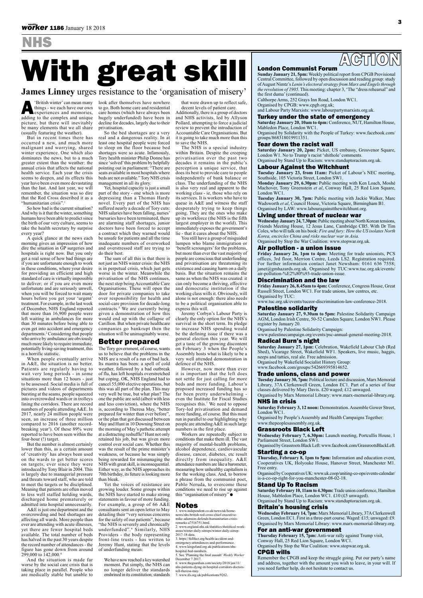#### London Communist Forum

**Sunday January 21, 5pm:** Weekly political report from CPGB Provisional Central Committee, followed by open discussion and reading group: study of August Nimtz's *Lenin's electoral strategy from Marx and Engels through the revolution of 1905*. This meeting: chapter 3, 'The "dress rehearsal" and the first duma' (continued).

Calthorpe Arms, 252 Grays Inn Road, London WC1.

Organised by CPGB: www.cpgb.org.uk;

and Labour Party Marxists: www.labourpartymarxists.org.uk.

#### Turkey under the state of emergency

**Saturday January 20, 10am to 4pm:** Conference, NUT, Hamilton House, Mabledon Place, London WC1.

Organised by Solidarity with the People of Turkey: www.facebook.com/ groups/868318019911351.

#### Tear down the racist wall

**Saturday January 20, 2pm:** Picket, US embassy, Grosvenor Square, London W1. No to Trump's racist 'shithole' comments.

Organised by Stand Up to Racism: www.standuptoracism.org.uk.

#### Labour Against the Witchhunt

**Tuesday January 23, from 11am:** Picket of Labour's NEC meeting, Southside, 105 Victoria Street, London SW1.

**Monday January 29, 6.30pm:** Public meeting with Ken Loach, Moshé Machover, Tony Greenstein *et al*, Conway Hall, 25 Red Lion Square, London WC1.

**Tuesday January 30, 7pm:** Public meeting with Jackie Walker, Marc Wadsworth *et al*, Council House, Victoria Square, Birmingham B1. Organised by LAW: www.labouragainstthewitchhunt.org.

#### Living under threat of nuclear war

**Wednesday January 24, 7.30pm:** Public meeting about North Korean tensions, Friends Meeting House, 12 Jesus Lane, Cambridge CB5. With Dr Tim Coles, who will talk on his book: *Fire and fury: How the US isolates North Korea, encircles China and risks nuclear war in Asia.*

Organised by Stop the War Coalition: www.stopwar.org.uk.

#### Air pollution - a union issue

**Friday January 26, 1pm to 4pm:** Meeting for trade unionists, PCS offices, 3rd floor, Merrion Centre, Leeds LS2. Registration required. For further information contact Janet Newsham: 0161 636 7558; janet@gmhazards.org.uk. Organised by TUC:www.tuc.org.uk/events/ air-pollution-%E2%80%93-trade-union-issue.

#### Discrimination and the law

**Friday January 26, 8.45am to 4pm:** Conference, Congress House, Great Russell Street, London WC1. For trade unions, law centres, etc. Organised by TUC:

www.tuc.org.uk/events/tuceor-discrimination-law-conference-2018.

#### Palestine solidarity

**Saturday January 27, 9.30am to 5pm:** Palestine Solidarity Campaign AGM, London Irish Centre, 50-52 Camden Square, London NW1. Please register by January 20.

**A** 'British winter' can mean many<br>things - we each have our own<br>experiences and memories,<br>adding to the complex and unique things - we each have our own experiences and memories, adding to the complex and unique picture, but there will inevitably be many elements that we all share (usually featuring the weather).

But in recent times there has occurred a new, and much more malignant and worrying, shared winter experience. One which also dominates the news, but to a much greater extent than the weather: the annual crisis that affects the national health service. Each year the crisis seems to deepen, and its effects this year have been even more devastating than the last. And last year, we will remember, the situation was so dire that the Red Cross described it as a "humanitarian crisis".<sup>1</sup>

Organised by Palestine Solidarity Campaign:

www.palestinecampaign.org/events/psc-annual-general-meeting-2018.

#### Radical Burn's night

**Saturday January 27, 1pm:** Celebration, Wakefield Labour Club (Red Shed), Vicarage Street, Wakefield WF1. Speakers, live music, haggis, neeps and tatties, real ale. Free admission.

Organised by Wakefield Socialist History Group: www.facebook.com/groups/542669395814652.

Trade unions, class and power

**Tuesday January 30, 7pm:** Political lecture and discussion, Marx Memorial Library, 37A Clerkenwell Green, London EC1. Part of a series of four classes delivered by Mary Davis. £20 waged; £12 unwaged.

Organised by Marx Memorial Library: www.marx-memorial-library.org. NHS in crisis

**Saturday February 3, 12 noon:** Demonstration. Assemble Gower Street, London WC1.

Organised by People's Assembly and Health Campaigns Together: www.thepeoplesassembly.org.uk.

#### Grassroots Black Left

**Wednesday February 7, 6.30pm:** Launch meeting, Portcullis House, 1 Parliament Street, London SW1.

Organised by Grassroots Black Left: www.facebook.com/GrassrootsBlackLeft.

#### Starting a co-op

**Thursday, February 8, 1pm to 5pm:** Information and education event, Cooperatives UK, Holyoake House, Hanover Street, Manchester M1. Free entry.

Organised by Cooperatives UK: www.uk.coop/uniting-co-ops/events-calendar/ is-a-co-op-right-for-you-manchester-08-02-18.

#### Stand Up To Racism

**Saturday February 10, 11am to 4.30pm:** Trade union conference, Hamilton House, Mabledon Place, London WC1. £10 (£5 unwaged). Organised by Stand Up to Racism: www.standuptoracism.org.uk.

#### Britain's housing crisis

**Wednesday February 14, 7pm:** Marx Memorial Library, 37A Clerkenwell Green, London EC1. First in a three-part course. Waged: £15; unwaged: £9. Organised by Marx Memorial Library: www.marx-memorial-library.org.

#### For an anti-war government

**Thursday February 15, 7pm:** Anti-war rally against Trump visit, Conway Hall, 25 Red Lion Square, London WC1.

Organised by Stop the War Coalition: www.stopwar.org.uk.

#### CPGB wills

Remember the CPGB and keep the struggle going. Put our party's name and address, together with the amount you wish to leave, in your will. If you need further help, do not hesitate to contact us.

## NHS

## With great skill

**James Linney** urges resistance to the 'organisation of misery'

So how bad is the current situation? And why is it that the winter, something humans have been able to predict since the birth of our very culture, seems to take the health secretary by surprise every year?

A quick glance at the news each morning gives an impression of how dire the situation in GP surgeries and hospitals is right now. But you only get a real sense of how bad things are if you are unfortunate enough to work in these conditions, where your desire for providing an efficient and high standard of care is virtually impossible to deliver; or if you are even more unfortunate and are seriously unwell, when you will be forced to wait many hours before you get your 'urgent' treatment. For example, in the last week of December, NHS England reported that more than 16,900 people were left waiting in ambulances for more than 30 minutes before being able to even get into accident and emergency departments.2 Considering that people who arrive by ambulance are obviously much more likely to require immediate, potentially living-saving treatment, this is a horrific statistic.

When people eventually arrive in A&E, the situation is no better. Patients are regularly having to wait very long periods - in some situations more than 12 hours - just to be assessed. Social media is full of pictures and videos of departments bursting at the seams, people squeezed into overcrowded wards or in trolleys lining the corridors. There are record numbers of people attending A&E. In  $2017$ , nearly  $2\overline{4}$  million people were seen, an increase of three million compared to 2016 (another recordbreaking year3 ). Of these 89% were reported to have been seen within the four-hour (!) target.

Workers are repeatedly subject to conditions that make them ill. The vast majority of mental-health problems, alcohol dependence, cardiovascular disease, cancer, diabetes, etc result directly from inequality. A&E attendance numbers are like a barometer, measuring how unhealthy capitalism is for the working class. And, to borrow a phrase from the communist poet, Pablo Neruda, to overcome these conditions we need to rise up against this "organisation of misery" $\bullet$ 

## $ACFT10$

But the number is almost certainly lower than this, as a certain amount of 'creativity' has always been used on the wards to get better scores on targets, ever since they were introduced by Tony Blair in 2004. This is largely due to managerial pressure and threats toward staff, who are told to meet the targets or be disciplined. Meaning that patients are often moved to less well staffed holding wards, discharged home prematurely or admitted into hospital unnecessarily. A&E is just one department and the overcrowding and bed shortages are affecting all wards. More people than ever are attending with acute illnesses, yet there are fewer hospital beds available. The total number of beds has halved in the past 30 years despite the record number of attendances - the figure has gone down from around 299,000 to 142,000.4 And the situation is made far worse by the social care crisis that is taking place in parallel. People who are medically stable but unable to

look after themselves have nowhere to go. Both home care and residential care homes (which have always been hugely underfunded) have been in decline for decades, largely due to their privatisation.

So the bed shortages are a very real and a dangerous reality. In at least one hospital people were forced to sleep on the floor because bed shortages were so acute. Infamously, Tory health minister Philip Donne has since 'solved' this problem by helpfully pointing out in parliament: "There are seats available in most hospitals where beds are not available." Tory NHS crisis management in all its glory.

Yet, hospital capacity is just a small part of the story - one which is more depressing than a Thomas Hardy novel. Every part of the NHS has suffered nearly a decade of Tory cuts: NHS salaries have been falling, nurses' bursaries have been terminated, there are alarming staff shortages, junior doctors have been forced to accept a contract which they warned would be unsafe for patients and all the time inadequate numbers of overworked and overstressed staff are trying to do their best.

The sum of all this is that there is not just an NHS winter crisis: the NHS is in perpetual crisis, which just gets worse in the winter. Meanwhile the privatisation of the NHS continues, the next step being Accountable Care Organisations. These will open the door for private companies to take over responsibility for health and social-care provision for decade-long contracts.<sup>5</sup> We are currently being given a demonstration of how this would end up with the collapse of Carillion. But when private healthcare companies go bankrupt then the situation will be unimaginably worse.

#### Better prepared

The Tory government, of course, wants us to believe that the problems in the NHS are a result of a run of bad luck. Its mantra has been: a spell of cold weather, followed by a bad outbreak of flu, has left hospitals overstretched but coping. OK, NHS England had to cancel 55,000 elective operations, but this was all part of the plan. This may very well be true, but what plan? The one the public are sold (albeit with less and less conviction), where the NHS is, according to Theresa May, "better prepared for winter than ever before", or the plan that got discussed between May and Hunt in 10 Downing Street on the morning of May's pathetic attempt at a distracting reshuffle? Hunt not only retained his job, but was given more control over social care. Whether this was the result of the prime minister's weakness, or because he was simply being rewarded for mismanaging the NHS with great skill, is inconsequential. Either way, as the NHS approaches its 70th birthday, its future is looking more than bleak. Yet the voices of resistance are growing louder. Some groups within the NHS have started to make strong statements in favour of more funding. For example, a group of 66 A&E consultants sent an open letter to May detailing their "very serious concerns for the safety of our patients", because "the NHS is severely and chronically underfunded".6 Similarly, NHS Providers - the body representing front-line trusts - has written to Jeremy Hunt, stating that the levels of underfunding mean:

We have now reached a key watershed moment. Put simply, the NHS can no longer deliver the standards enshrined in its constitution; standards

that were drawn up to reflect safe, decent levels of patient care.

Additionally, there is a group of doctors and NHS activists, led by Allyson Pollard, attempting to force a judicial review to prevent the introduction of Accountable Care Organisations. But it is going to take much more than this to save the NHS.

The NHS is a special industry within Britain. Despite the creeping privatisation over the past two decades it remains in the public's perception a unique service, that does its best to provide care to people independently of bank balance or class. The underfunding of the NHS is also very real and apparent to the working class - ie, those who rely on its services. It is workers who have to queue in A&E and witness the staff desperately trying to keep things going. They are the ones who make up its workforce (the NHS is the fifth largest employer in the world). This immediately exposes the government's lie - that it cares about the NHS.

You still have a group of misguided lumpen who blame immigration or 'benefit scroungers' for the problems, but more than ever the vast majority of people are conscious that underfunding and privatisation are threatening its existence and causing harm on a daily basis. But the situation remains the same as when the NHS was created: it can only become a thriving, effective and democratic institution if the working class wills it. Obviously, will alone is not enough: there also needs to be a political organisation able to express this will.

Jeremy Corbyn's Labour Party is clearly the only option for the NHS's survival in the short term. Its pledge to increase NHS spending would be the defining issue if there was a general election this year. We will get a taste of the growing discontent on February 3 when the People's Assembly hosts what is likely to be a very well attended demonstration in defence of the NHS.

However, now more than ever it is important that the left does not settle for just calling for more beds and more funding. Labour's proposed increased funding has so far been pretty underwhelming even the Institute for Fiscal Studies recognises this.<sup>7</sup> We need to oppose Tory-led privatisation and demand more funding, of course. But this must run in parallel to our highlighting why people are attending A&E in such large numbers in the first place.

#### Notes

1. www.independent.co.uk/news/uk/homenews/nhs-british-red-cross-chief-executivemike-adamson-defends-humanitarian-crisisremarks-a7516751.html. 2. www.england.nhs.uk/statistics/statistical-workareas/winter-daily-sitreps/winter-daily-sitrep-2017-18-data. 3. https://fullfact.org/health/accident-and-

emergency-attendances-and-performance. 4. www.kingsfund.org.uk/publications/nhshospital-bed-number 5. See 'Planning the final assault' *Weekly Worker*

December 7 2017.

6. www.theguardian.com/society/2018/jan/11/ nhs-patients-dying-in-hospital-corridors-doctorstell-theresa-may.

7. www.ifs.org.uk/publications/9262.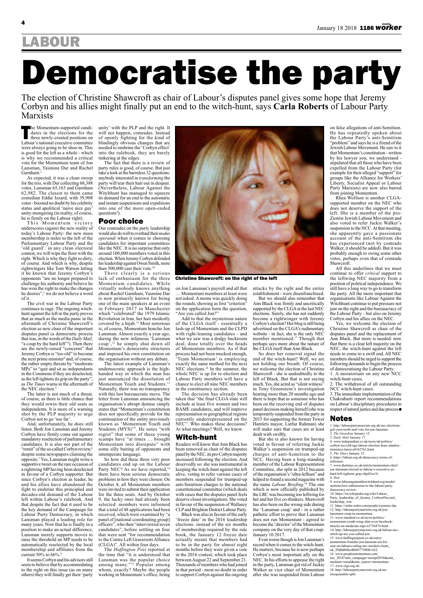### LABOUR

The election of Christine Shawcroft as chair of Labour's disputes panel gives some hope that Jeremy Corbyn and his allies might finally put an end to the witch-hunt, says **Carla Roberts** of Labour Party **Marxists** 

## Democratise the party

he Momentum-supported candi-<br>dates in the elections for the<br>three newly-created positions on<br>Labour's national executive committee he Momentum-supported candidates in the elections for the three newly-created positions on were always going to be shoe-in. This is good for the left as a whole - which is why we recommended a critical vote for the Momentum team of Jon Lansman, Yasmine Dar and Rachel Garnham.1

As expected, it was a clean sweep for the trio, with Dar collecting 68,388 votes, Lansman 65,163 and Garnham 62,982. The closest to them came comedian Eddie Izzard, with 39,908 votes - boosted no doubt by his celebrity status and apolitical 'naive nice guy' unity-mongering (in reality, of course, he is firmly on the Labour right).

This Momentum victory underscores (again) the new reality of today's Labour Party: the new mass membership is miles to the left of the Parliamentary Labour Party and the 'old guard': in any clean electoral contest, we will wipe the floor with the right. Which is why they fight so dirty, of course. And which is why, despite rightwingers like Tom Watson letting it be known that Jeremy Corbyn's opponents "are no longer prepared to challenge his authority and believe he has won the right to make the changes he desires",<sup>2</sup> we do not believe a word of it.

The civil war in the Labour Party continues to rage. The ongoing witchhunt against the left in the party proves that as much as the media panic in the aftermath of Christine Shawcroft's election as new chair of the important disputes panel (a democratic process that was, in the words of the *Daily Mail*, "a coup by the hard left"3 ). Then there are the newly-raised "concerns" that Jeremy Corbyn is "too old" to become the next prime minister<sup>4</sup> and, of course, the rather empty threats by "moderate MPs" to "quit and sit as independents in the Commons if they are deselected, as the left tightens its grip on the party", as *The Times* warns in the aftermath of the NEC election.<sup>5</sup>

And, unfortunately, he does still listen. Both Jon Lansman and Jeremy Corbyn have firmly come out against mandatory reselection of parliamentary candidates. It is also not part of the "remit" of the so-called Corbyn review,<sup>6</sup>

despite some newspapers claiming the opposite.7 Yes, Lansman might write a supportive tweet on the rare occasion of a rightwing MP having been deselected in favour of a Corbyn supporter. But since Corbyn's election as leader, he and his allies have abandoned the fight to enshrine this principled and decades-old demand of the Labour left within Labour's rulebook. And that despite the fact that it used to be the key demand of the Campaign for Labour Party Democracy, in which Lansman played a leading role for many years. Now that he is finally in a position to make an actual difference, Lansman merely supports moves to raise the threshold an MP needs to be automatically reselected by the local membership and affiliates from the current 50% to  $66\%$ .<sup>8</sup>

The fact that there is a review of party rules is good, of course. But just take a look at the harmless 32 questions: anybody interested in *transforming* the party will tear their hair out in despair. (Nevertheless, Labour Against the Witchhunt has managed to squeeze its demand for an end to the automatic and instant suspensions and expulsions into one of the more open-ended questions<sup>9</sup>).

Our comrades on the party leadership would also do well to overhaul their *modus operandi* when it comes to choosing candidates for important committees like the NEC. It is no surprise that only around 100,000 members voted in this election. When Jeremy Corbyn defended his leadership against Owen Smith, more than  $500,000$  cast their vote.<sup>10</sup>

The latter is not much of a threat, of course, as there is little chance that they would rewin their old seats as independents. It is more of a warning shot by the PLP majority to urge Corbyn not to go 'too far'.

It seems Corbyn and his advisors still seem to believe that by accommodating to the right on this issue (as on many others) they will finally get their 'party

unity' with the PLP and the right. It will not happen, comrades. Instead of openly fighting for the kind of blindingly obvious changes that are needed to enshrine the 'Corbyn effect' into the rulebook, they are barely tinkering at the edges.

#### Poor choice

There clearly is a serious lack of enthusiasm for the three Momentum candidates. While virtually nobody knows anything about Rachel Garnham, Yasmine Dar is now primarily known for being one of the main speakers at an event in February 2017 in Manchester which "celebrated" the 1979 Islamic Revolution in Iran, her hair modestly covered by a hijab.<sup>11</sup> Most notorious is, of course, Momentum honcho Jon Lansman. Almost exactly a year ago, during the now infamous 'Lansman coup',12 he simply shut down all Momentum's democratic structures and imposed his own constitution on the organisation without any debate.

The latest example of Lansman's undemocratic approach is the highhanded way in which the man has just announced the dissolution of Momentum Youth and Students.<sup>13</sup> Naturally, there was no transparency with this last bureaucratic move. The letter from Lansman announcing the organisation's abrupt demise simply states that "Momentum's constitution does not specifically provide for the continuation of the entity previously known as 'Momentum Youth and Students (MYS)'". He notes "with regret" that some of these young scamps have "at times … brought Momentum into disrepute" with some silly baiting of opponents and intemperate language. So how did these three very poor candidates end up on the Labour Party NEC? As we have reported,<sup>14</sup> there have been serious democratic problems in how they were chosen: On October 4, all Momentum members were invited to submit their application for the three seats. And by October 9, the lucky ones had already been selected: members were informed that a total of 48 applications had been received, which were examined by "a panel of [national coordinating group] officers", who then "interviewed seven candidates", before settling on four that were sent "for recommendation to the Centre Left Grassroots Alliance (CLGA)". All within four days. The *Huffington Post* reported at the time that "it is understood that Lansman was the popular choice among many."15 Popular among whom, exactly? Maybe the people working in Momentum's office, being

3. The immediate implementation of the Chakrabarti report recommendations on Labour's disciplinary procedures in respect of natural justice and due process  $\bullet$ 

4. www.independent.co.uk/news/uk/politics/ corbyn-too-old-age-labour-election-fears-shadowministers-latest-a8162761.html.

on Jon Lansman's payroll and all that … Momentum members at least were not asked. A meme was quickly doing the rounds, showing as first "criterion" on the application form the question, "Are you called Jon?"

Add to that the mysterious nature of the CLGA itself - essentially a lash-up of Momentum and the CLPD with right-leaning candidates - and what we saw was a dodgy backroom deal, done totally over the heads of Momentum members. As if that process had not been mocked enough, 'Team Momentum' is employing exactly the same method for the next NEC elections.<sup>16</sup> In the summer, the whole NEC is up for re-election and Labour Party members will have a chance to elect all nine NEC members in the constituency section.

The decision has already been taken that "the final CLGA slate will include at least five women and two BAME candidates, and will improve representation in geographical regions currently underrepresented on the NEC". Who makes these decisions? At what meetings? Well, we know.

#### Witch-hunt

Readers will know that Ann Black has been removed as chair of the disputes panel by the NEC, its pro-Corbyn majority increased following the election. And deservedly so: she was instrumental in keeping the witch-hunt against the left alive, voting to refer various cases of members suspended for trumped-up anti-Semitism charges to the national constitutional committee (which deals with cases that the disputes panel feels deserve closer investigation). She voted in favour of the suspension of Wallasey CLP and Brighton District Labour Party. Black was also in favour of the early 'freeze date' in the 2016 leadership elections: instead of the six months of membership required by the rule book, the January 12 freeze date actually meant that members had to be in the party for almost eight months before they were given a vote in the 2016 contest, which took place between August 22 and September 21. Thousands of members who had joined in that period - most no doubt in order

to support Corbyn against the ongoing

attacks by the right and the entire establishment - were disenfranchised.

But we should also remember that Ann Black was firmly and uncritically supported by the CLGA at the last NEC elections. Surely, she has not suddenly become a rightwinger with Jeremy Corbyn's election? Her blog is still being advertised on the CLGA's rudimentary website - in fact, she is the only NEC member mentioned.17 Though that perhaps says more about the nature of the CLGA itself than Ann Black.

So does her removal signal the end of the witch-hunt? Well, we are not holding our breath. Of course, we welcome the election of Christine Shawcroft - she is undoubtedly to the left of Black. But that is not saying much. Yes, she acted as "silent witness" in Tony Greenstein's investigation hearing more than 20 months ago and there is hope that as someone who has been on the receiving end of disputes panel decision-making herself (she was temporarily suspended from the party in 2015 for supporting the former Tower Hamlets mayor, Lutfur Rahman) she will make sure that cases are at least dealt with swiftly.

But she is also known for having voted in favour of referring Jackie Walker's suspension on trumped-up charges of anti-Semitism to the NCC. Having been a long-standing member of the Labour Representation Committee, she split in 2012 because of the organisation's "ultra-leftism" and helped to found a second magazine with the name *Labour Briefing*. 18 The one which is now officially published by the LRC was becoming too leftwing for her and her five co-thinkers. Shawcroft has also been on the wrong side during the 'Lansman coup' and - in a rather pathetic effort to prove that Lansman does not run Momentum - agreed to become the 'director' of the Momentum company on the very day of that coup: January 10 2017. Even worse though is Jon Lansman's record when it comes to the witch-hunt. He matters, because he is now perhaps Corbyn's most important ally on the NEC. In his efforts to appease the right in the party, Lansman got rid of Jackie Walker as vice chair of Momentum after she was suspended from Labour

on false allegations of anti-Semitism. He has repeatedly spoken about the Labour Party's anti-Semitism "problem" and says he is a friend of the Jewish Labour Movement. He saw to it that Momentum's constitution - written by his lawyer son, we understand stipulated that all those who have been expelled from the Labour Party (for example for their alleged "support" for groups like the Alliance for Workers' Liberty, Socialist Appeal or Labour Party Marxists) are now also barred from joining Momentum.

Rhea Wolfson is another CLGAsupported member on the NEC who does not deserve the support of the left. She is a member of the pro-Zionist Jewish Labour Movement and also voted to refer Jackie Walker's suspension to the NCC. At that meeting, she apparently gave a passionate account of the anti-Semitism she has experienced (not by comrade Walker, it should be added). But it was probably enough to swing some other votes, perhaps even that of comrade Shawcroft.

All this underlines that we must continue to offer *critical* support to the leftwing NEC majority from a position of political independence. We still have a long way to go to transform the party. All the more important that organisations like Labour Against the Witchhunt continue to put pressure not just on the right and the bureaucracy of the Labour Party - but also on Jeremy Corbyn and his allies on the NEC.

Yes, we welcome the election of Christine Shawcroft as chair of the disputes panel and the replacement of Ann Black. But more is needed: now that there is a clear left majority on the NEC, the witch-hunt against the left needs to come to a swift end. All NEC members should be urged to support the following demands to begin the process of democratising the Labour Party:

1. A moratorium on any new NCC witch-hunt cases.

2. The withdrawal of all outstanding NCC witch-hunt cases.

#### Notes

1. http://labourpartymarxists.org.uk/nec-electionsgrit-your-teeth-and-vote-for-jon-lansman.

2. *The Guardian* January 15. 3. *Daily Mail* January 17.

5. *The Times* January 15. 6. https://labour.org.uk/democracy-terms-ofreference.

7. www.thetimes.co.uk/article/momentum-chiefjon-lansman-elected-to-labour-s-executive-ashard-left-tightens-grip-cbpd2wc5r. 8. *Ibid*. 9. www.labouragainstthewitchhunt.org/modelmotions/law-submission-to-the-labour-partydemocracy-review. 10. https://en.wikipedia.org/wiki/Labour\_ Party\_leadership\_of\_Jeremy\_Corbyn#Second\_ leadership\_win. 11. https://order-order.com/people/yasmine-dar. 12. http://labourpartymarxists.org.uk/jonlansmans-coup-in-momentum. 13. www.standard.co.uk/news/politics/ momentum-youth-wing-shut-over-facebookattacks-on-moderate-mps-a3736476.html. 14. http://labourpartymarxists.org.uk/labourstitch-up-are-you-called-jon. 15. www.huffingtonpost.co.uk/entry/ momentum-founder-jon-lansman-set-forseat-on-labours-ruling-nec-insiders-claim\_ uk\_59dbdb6be4b00377980b1422. 16. www.peoplesmomentum.com/ nec\_2018?utm\_campaign=necnpf2018&utm medium=email&utm\_source=momentum. 17. www.clga.org.uk. 18. http://labourpartymarxists.org.uk/anirresponsible-split.



Christine Shawcroft: on the right of the left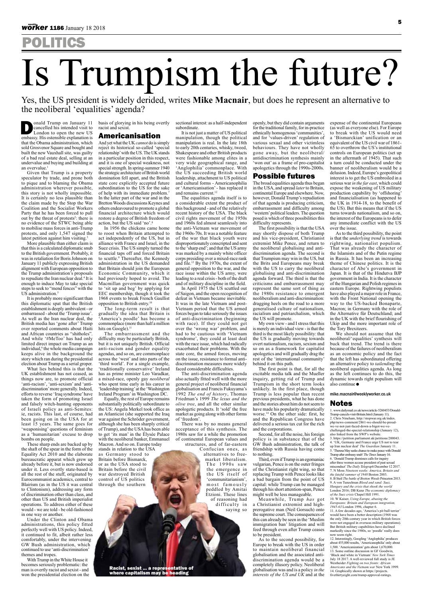### POLITICS

# Is Trumpism the future?

Yes, the US president is widely derided, writes **Mike Macnair**, but does he represent an alternative to the neoliberal 'equalities' agenda?

**Donald Trump on January 11** basis of glorying in his being overtly cancelled his intended visit to racist and sexist.<br>
London to open the new US<br>
embassy. His ostensible explanation is cancelled his intended visit to London to open the new US embassy. His ostensible explanation is that the Obama administration, which sold Grosvenor Square and bought and built the new Vauxhall site, was guilty of a bad real estate deal, selling at an undervalue and buying and building at an overvalue.1

Given that Trump is a property speculator by trade, and prone both to pique and to blaming the Obama administration wherever possible, this story is not wholly impossible. It is certainly no less plausible than the claim made by the Stop the War Coalition and the Socialist Workers Party that he has been forced to pull out by the threat of protests<sup>2</sup>: there is no evidence of the STWC being able to mobilise mass forces in anti-Trump protests, and only 1,547 signed the latest petition against him visiting.<sup>3</sup>

More plausible than either claim is that this is a calculated diplomatic snub to the British government. Probably, it was in retaliation for Boris Johnson on January 11 publicly expressing British alignment with European opposition to the Trump administration's proposals to repudiate the Iran nuclear deal.4 It is enough to induce May to take special steps to seek to "mend fences" with the US administration.<sup>5</sup>

It is probably more significant than this diplomatic spat that the British establishment is deeply ambivalent - or embarrassed - about the 'Trump issue'. As well as the Iran nuclear deal, the British media has 'gone after' Trump over reported comments about Haiti and African countries as "shitholes". And while '#MeToo' has had only limited direct impact on Trump as an individual,<sup>6</sup> the whole media campaign keeps alive in the background the story which ran during the presidential election about Trump as a serial groper.

In 1956 the chickens came home to roost when Britain attempted to act independently of the US, but in alliance with France and Israel, in the Suez crisis. The US simply turned the financial taps off and forced Britain to scuttle.9 Thereafter, the Kennedy administration in the US demanded that Britain should join the European Economic Community, which it had previously hoped to avoid. The Macmillan government was quick to 'sit up and beg' by applying for EEC membership, though it took the 1968 events to break French Gaullist opposition to British entry.<sup>10</sup>

What lies behind this is that the UK establishment has not ceased, as things now are, to promote official 'anti-racism', 'anti-sexism' and 'antidiscrimination' more generally. Indeed, efforts to reverse 'Iraq syndrome' have taken the form of promoting Israel and falsely witch-hunting opponents of Israeli policy as anti-Semites: ie, racists. This last, of course, had been going on in the USA for at least 15 years. The same goes for 'weaponising' questions of feminism as a 'humanitarian' excuse to drop bombs on people.

The long-term result is that gradually the idea that Britain is 'America's poodle' has become a commonplace (more than half a million hits on  $\tilde{\text{Google}}$ ).<sup>11</sup>

These sharp ends are backed up by the shaft of the spear in the form of the Equality Act  $2010$  and the elaborate bureaucratic apparat which grew up already before it, but is now endorsed under it. Less overtly state-based is all the rest of the stuff, originated by Eurocommunist academics, central to Blairism (as in the US it was central to Clintonism), addressing any form of discrimination other than class, and other than US and British imperialist operations. To address either of these would - we are told - be old-fashioned in one way or another. Under the Clinton and Obama administrations, this policy fitted perfectly well with US policy. Indeed, it continued to fit, albeit rather less comfortably, under the intervening GW Bush administration, which continued to use 'anti-discrimination' themes and tropes. With Trump in the White House it becomes seriously problematic: the man is overtly racist and sexist - and won the presidential election on the

It is not just a matter of US political manipulation, though the political manipulation is real. In the late 18th to early 20th centuries, whisky, tweed, Shakespeare and other British products were fashionable among elites in a very wide geographical range, and 'Anglophilia' commonplace. With the US succeeding British world leadership, attachment to US political and cultural forms - Americanophilia or 'Americanisation' - has replaced it and remains current.<sup>12</sup>

racist and sexist.

#### Americanisation

And yet what the UK *cannot* do is simply reject its historical so-called 'special relationship' with the US. The UK stands in a particular position in this respect, and it is one of special weakness, not special strength. In spring-summer 1940 the strategic architecture of British world domination fell apart, and the British state core explicitly accepted future subordination to the US for the sake of help with its immediate problem.7 In the latter part of the war and in the Bretton Woods discussions Keynes and others endeavoured to promote a global financial architecture which would restore a degree of British freedom of action, but the US said 'no'.8

> In April 1975 the US scuttled out of Saigon, and the open recognition of defeat in Vietnam became inevitable. It was in the late Vietnam and post-Vietnam period that the US armed forces began to take seriously the issues of anti-discrimination (beginning with race). If they could not get over the 'wrong war' problem, and had to be cautious with 'Vietnam syndrome', they could at least deal with the race issue, which had radically exacerbated their problems. With the state core, the armed forces, moving on the issue, resistance to formal antidiscrimination measures more widely faced considerable difficulties.

The embarrassment and the difficulty may be particularly British, but it is not uniquely British. Official anti-racism and gender equality agendas, and so on, are commonplace across the 'west' and into parts of the 'third world'. For a single example, 'traditionally conservative' Ireland has as prime minister Leo Varadkar, a mixed-race, openly gay *neoliberal* who spent time early in his career in 'leadership training' at the 'Washington Ireland Program' in Washington DC.

Equally, the rest of Europe remains substantially politically subordinate to the US: Angela Merkel took office as an Atlanticist (she supported the Iraq war against the Schröder government, although she has been sharply critical of Trump), and the USA has been able to get 'its man' in the Élysée Palace with the neoliberal banker, Emmanuel Macron. And so on. Europe today stands in relation to the USA

as Germany stood to Britain before Bismarck, or as the USA stood to Britain before the civil war destroyed British control of US politics through the southern

sectional interest: as a half-independent subordinate.

> We should not assume that the neoliberal/'equalities' synthesis will buck that trend. The trend is there because of the failures of neoliberalism as an economic policy and the fact that the left has subordinated offering an alternative policy to *tailending* the neoliberal equalities agenda. As long as the left continues to do this, the dynamic towards right populism will also continue  $\bullet$

The equalities agenda itself is to a considerable extent the product of this background - and of the relatively recent history of the USA. The black civil rights movement of the 1950s and 1960s fed almost seamlessly into the anti-Vietnam war movement of the 1960s-70s. It was a notable feature of the war that black youth were disproportionately conscripted and sent to the 'sharp end'; and that the US army was marked by a mainly white officer corps presiding over a mixed-race rank and file.13 By the 1970s, the extent of general opposition to the war, and the race issue within the US army, were leading to a real crisis - both of the draft and of military discipline in the field.

The anti-discrimination agenda also actually fitted well with the more general project of neoliberal financial globalisation and Francis Fukuyama's 1992 *The end of history*, Thomas Friedman's 1999 *The lexus and the olive tree*, and all the other similar apologetic products. It 'sold' the free market as going along with other forms of 'freedom'.

There was by no means general acceptance of this synthesis. The 1980s saw for a while the promotion of continental European values and structures, and of far-eastern

Confucian ones, as

saying so

openly, but they did contain arguments for the traditional family, for in-practice ethnically homogenous 'communities', and for 'values-driven' regulation of various sexual and other victimless behaviours. They have not wholly gone away, but the neoliberal/ antidiscrimination synthesis mainly 'won out' as a frame of pro-capitalist apologetics through the 1990s-2000s.

#### Possible futures

The broad equalities agenda thus began in the USA, and spread *later* to Britain, continental Europe and elsewhere. Now, however, Donald Trump's repudiation of that agenda is producing criticism, embarrassment and difficulty among 'western' political leaders. The question posed is which of three possibilities this difficulty represents.

The first possibility is that the USA may shortly dispose of both Trump and his vice-president, Christianist extremist Mike Pence, and return to the neoliberal globalising and antidiscrimination agenda. The second is that Trumpism may win in the US, but the Brits and Europeans may break with the US to carry the neoliberal globalising and anti-discrimination agenda forward. The third is that the criticisms and embarrassment may represent the same sort of thing as the 1980s resistance to emergent neoliberalism and anti-discrimination: dragging heels on the road to a more generalised culture of nationalism, racialism and patriarchalism, which the US will promote.

alternatives to freeto nothing.

market liberalism. The 1990s saw the emergence in the US itself of 'communitarianism', m o st famously peddled by Amitai Etzioni. These lines of reasoning had difficulty in might well be less manageable.

My own view - and I stress that this is merely an individual view - is that the third is the most likely possibility: that the US is gradually moving towards overt nationalism, racism, sexism and so on as a framework for capitalist apologetics and will gradually drag the rest of the 'international community' behind it on this path.

The first point is that, for all the excitable media talk and the Mueller inquiry, getting rid of Trump and Trumpism in the short term looks unlikely. In the first place, though Trump is less popular than recent previous presidents, what he has done and the stories about him do not seem to have made his popularity dramatically worse.14 On the other side: first, he and the Republican Congress have delivered a serious tax cut for the rich and the corporations.

Second, for all the noise, his foreign policy is in substance that of the GW Bush administration, the talk of friendship with Russia having come

to be president.

expense of the continental Europeans (as well as everyone else). For Europe to break with the US would need a 'Bismarckian' unification or an equivalent of the US civil war of 1861-  $6\overline{5}$  to overthrow the US's institutional controls on European politics (set up in the aftermath of 1945). That such a turn could be conducted under the banner of neoliberalism would be a delusion. Indeed, Europe's geopolitical interest is to get the US embroiled in a serious war *in the far east*, which could expose the weakening of US military production capability by 'offshoring' and financialisation (as happened to the UK in 1914-18, to the benefit of the US). But this means that if the US turns towards nationalism, and so on, the interest of the Europeans is to defer any immediate conflict with the US over the issue.

As to the third possibility, the point is that the *underlying trend* is towards rightwing, nationalist populism. That was already the character of the Islamists and of the Putin regime in Russia. It has been an increasing theme of Chinese politics. It is the character of Abe's government in Japan. It is that of the Hindutva BJP government in India. It is the character of the Hungarian and Polish regimes in eastern Europe. Rightwing populists have also played a major role in France, with the Front National opening the way to the US-backed Bonaparte, Macron; in Germany with the role of the Alternative für Deutschland; and in the UK with the brief flourishing of Ukip and the more important role of the Tory Brexiteers.

Third, even if Trump is an egomaniac vulgarian, Pence is on the outer fringes of the Christianist right wing, so that replacing Trump with Pence looks like a bad bargain from the point of US capital: while Trump can be managed through his short attention-span, Pence Meanwhile, Trump *has* got a Christianist extremist and highprerogative man (Neil Gorsuch) onto the supreme court. The consequences of this can already be seen in the 'Muslim immigration ban' litigation and will feed through even after Trump ceases As to the second possibility, for Europe to break with the US in order to maintain neoliberal financial globalisation and the associated antidiscrimination agenda would be a completely illusory policy. Neoliberal globalisation was and is a policy *in the interests of the US and UK* and at the 1. www.dailymail.co.uk/news/article-5260453/Donald-Trump-cancels-visit-Britain.html (January 11). 2. Chris Nineham, http://stopwar.org.uk/index. php/news-comment/2861-we-should-be-proudwe-ve-not-just-faced-down-a-bigot-we-vechallenged-the-special-relationship (January 12), also linked from the SWP's website. 3. https://petition.parliament.uk/petitions/200043. 4. 'UK, Germany and France urge US not to tear up Iran nuclear deal' *The Guardian* January 11. 5. 'Theresa May seeks chance to make peace with Donald Trump after embassy snub' *The Times* January 16. 6. 'Donald Trump dismisses calls for inquiry after three women accuse president of past sexual misconduct' *The Daily Telegraph* December 12 2017. 7. N Moss *Nineteen weeks: America, Britain and the fateful summer of 1940* Boston 2003. 8. B Steil *The battle of Bretton Woods* Princeton 2013. 9. A von Tunzelman *Blood and sand: Suez, Hungary and the crisis that shook the world* London 2016; DB Kunz *The economic diplomacy of the Suez crisis* Chapel Hill 1991. 10. W Kaiser, *Using Europe, abusing the Europeans: Britain and European integration, 1945-63* London 1996, chapter 6. 11. A few decades ago, 'America's pit bull terrier' would have been a better description (1968 was the only 20th-century year in which British forces were not engaged in overseas military operations). But British military capabilities have declined markedly since the 1980s, so 'poodle' really does now seem right. 12. Interestingly, Googling 'Anglophilia' produces about 455,000 results, 'Americanophilia' only about 1,500. 'Americanization' gets about 1,670,000. 13. Some outline discussion in GF Goodwin, 'Black and white in Vietnam' *New York Times* July 18 2017. A well-reviewed full study is JE Westheider *Fighting on two fronts: African Americans and the Vietnam war* New York 1999. 14. Graphically shown at https://projects. fivethirtyeight.com/trump-approval-ratings.

#### mike.macnair@weeklyworker.co.uk

#### Notes

Racist, sexist ... a representative of where capitalism may be heading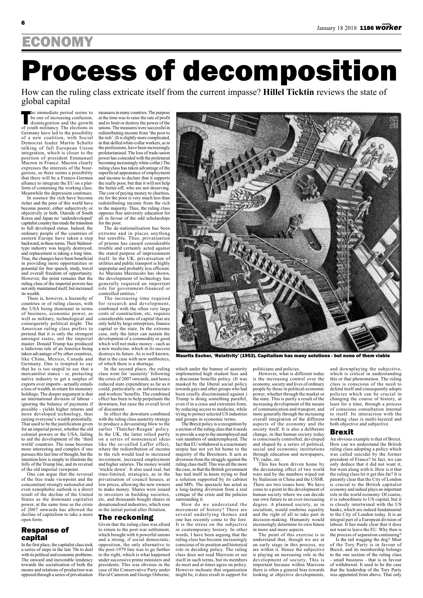### ECONOMY

## Process of decomposition

How can the ruling class extricate itself from the current impasse? **Hillel Ticktin** reviews the state of global capital

the immediate period seems to<br>be one of increasing confusion,<br>disintegration and the growth<br>of youth militancy. The elections in he immediate period seems to be one of increasing confusion, disintegration and the growth Germany have led to the possibility of a new coalition, with Social Democrat leader Martin Schultz talking of full European Union integration, which is closer to the position of president Emmanuel Macron in France. Macron clearly expresses the interests of the bourgeoisie, so there seems a possibility that there will be a Franco-German alliance to integrate the EU on a platform of containing the working class. Meanwhile the depression continues.

In essence the rich have become richer and the poor of this world have become poorer, either subjectively or objectively or both. Outside of South Korea and Japan no 'underdeveloped' capitalist country has made the transition to full developed status. Indeed, the ordinary people of the countries of eastern Europe have taken a step backward, in these terms. Their Stalinisttype industry was largely destroyed, and replacement is taking a long time. True, the changes have been beneficial in providing more opportunities or potential for free speech, study, travel and overall freedom of opportunity. However, the point remains that the ruling class of the imperial powers has not only maintained itself, but increased its wealth.

There is, however, a hierarchy of countries or of ruling classes, with the USA being dominant in terms of business, economic power, as well as military, technological and consequently political might. The American ruling class prefers to pretend that it is only the strongest amongst states, not the imperial master. Donald Trump has produced a ludicrous tale of an America being taken advantage of by other countries, like China, Mexico, Canada and Germany. One is tempted to say that he is too stupid to see that a mercantilist stance - ie, protecting native industry to get a surplus of exports over imports - actually entails a loss of wealth, in return for monetary holdings. The deeper argument is that an international division of labour ignoring the balance of payments if possible - yields higher returns and more developed technology, thus raising everyone's wealth potentially. That used to be the justification given for an imperial power, whether the old colonial powers or the USA, failing to aid the development of the 'third world' countries. The issue becomes more interesting and complex if one

The de-nationalisation has been extreme and in places anything but sensible. Thus, privatisation of prisons has caused considerable trouble and certainly acted against the stated purpose of imprisonment itself. In the UK, privatisation of utilities and public transport is highly unpopular and probably less efficient. As Mariana Mazzucato has shown, the development of technology has generally required an important role for government-financed or controlled entities.<sup>1</sup>

pursues this last line of thought, but the intention here is simply to illustrate the folly of the Trump line, and its reversal of the old imperial viewpoint.

One can argue that the reversal of the free trade viewpoint and the concomitant strongly nationalist and even xenophobic outlook is a direct result of the decline of the United States as the dominant capitalist power, at the same time as the crisis of 2007 onwards has allowed the decline of capitalism to take a more open form.

#### Response of capital

In the first place, the capitalist class took a series of steps in the late 70s to deal with its political and economic problems. The onward and inexorable tendency towards the socialisation of both the means and relations of production was opposed through a series of privatisation

measures in many countries. The purpose at the time was to raise the rate of profit and to limit or destroy the power of the unions. The measures were successful in redistributing income from 'the poor to the rich'. (It is slightly more complicated, in that skilled white-collar workers, as in the professions, have been increasingly proletarianised. The loss of trade-union power has coincided with the proletariat becoming increasingly white-collar.) The ruling class has taken advantage of the superficial appearance of employment and income to declare that it supports the really poor, but that it will not help the better-off, who are not deserving. The cost of paying money to charities, etc for the poor is very much less than redistributing income from the rich to the majority. Thus, the ruling class opposes free university education for all in favour of the odd scholarships for the poor.

The increasing time required for research and development, combined with the often very large costs of construction, etc, requires considerable sums of capital that are only held by large enterprises, finance capital or the state. In the extreme case, only the latter can sustain the development of a commodity or good which will not make money - such as a new medicine, which in its success destroys its future. As is well known, that is the case with new antibiotics, of which there is a shortage.

In the second place, the ruling class went for 'austerity' following the crisis of 2007 onwards, and hence reduced state expenditure as far as it could, particularly on infrastructure and workers' benefits. The combined effect has been to help perpetuate the downturn, but raise the overall level of discontent.

In effect the downturn combined with the ruling class austerity strategy to produce a devastating blow to the earlier 'Thatcher-Reagan' policy. In the UK, the latter relied partly on a series of nonsensical ideas like the so-called Laffer effect, where the redistribution of income to the rich would lead to increased investment, increased employment and higher salaries. The money would 'trickle down'. It also used real, but time-limited, strategies, as in the privatisation of council houses, at low prices, allowing the new owners to make money. Shares were issued to investors in building societies, etc, and thousands bought shares in denationalised industries, which rose in the initial period after flotation.

#### The reckoning

Given that the ruling class was afraid to return to the post-war settlement, which brought with it powerful unions and a strong, if social democratic, opposition, the only alternative to the post-1979 line was to go further to the right, which is what happened under successive prime ministers and presidents. This was obvious in the case of the Conservative Party under David Cameron and George Osborne, which under the banner of austerity implemented high student fees and a draconian benefits policy. (It was masked by the liberal social policy towards gays and other groups who had been cruelly discriminated against.) Trump is doing something parallel, even if in a crass and extremist form, by reducing access to medicine, while trying to protect selected US industries and groups in economic terms.

The Brexit policy is a recognition by a section of the ruling class that it needs to provide a sop to the unemployed and vast numbers of underemployed. The fact that EU withdrawal is a reactionary utopia has not yet hit home to the majority of the Brexiteers. It acts as diversion from the struggle against the ruling class itself. This was all the more the case, in that the British government has tied itself in knots trying to find a solution supported by its cabinet and MPs. The spectacle has acted as a long-lasting diversion from a real critique of the crisis and the policies surrounding it. How do we understand the movement of history? There are several underlying themes and one has recently come to the fore. It is the stress on the subjective in contemporary history. In other words, I have been arguing that the ruling class has become increasingly conscious of its position and historical role in deciding policy. The ruling class does not read Marxism or see itself in such terms, but its members do meet and at times agree on policy. However inchoate that organisation might be, it does result in support for politicians and policies.

However, what is different today is the increasing control over the economy, society and lives of ordinary people by those in political-economic power, whether through the market or the state. This is partly a result of the increasing development of the means of communication and transport, and more generally through the increasing overall integration of the different aspects of the economy and the society itself. It is also a deliberate change, in that human society today is consciously controlled, developed and shaped by a series of political, social and economic institutions

through education and newspapers, TV, radio, etc.

This has been driven home by the devastating effect of two world wars and by the numbers wiped out by Stalinism in China and the USSR. There are two issues here. We have come to a point in the development of human society where we can decide our own future to an ever-increasing degree. A planned society, as in socialism, would enshrine equality and the right of all to take part in decision-making. Humanity would increasingly determine its own future in more and more aspects.

The point of this exercise is to understand that, though we are at an early stage in this process, we are within it. Hence the subjective is playing an increasing role in the development of society. This is important because within Marxism there is often a general bias towards looking at objective developments, and downplaying the subjective, which is critical in understanding this or that phenomenon. The ruling class is conscious of the need to defend itself and consequently adopts policies which can be crucial in changing the course of history, at least for a time, through a process of conscious consultation internal to itself. Its interaction with the working class is multi-layered and both objective and subjective.

#### Brexit

An obvious example is that of Brexit. How can we understand the British ruling class adopting a policy which

was called suicidal by the former president of France? In fact, we can only deduce that it did not want it, but went along with it. How is it that the ruling class let it get this far? It is patently clear that the City of London is crucial to the British capitalist economy and indeed plays an important role in the world economy. Of course, it is subordinate to US capital, but it is closely intertwined with the US banks, which are indeed fundamental to the City of London today. It is an integral part of a European division of labour. It has made clear that it does not want to leave the EU. Why then is the process of separation continuing?

Is the tail wagging the dog? Most of the Tory Party is in favour of Brexit, and its membership belongs to the one section of the ruling class - small business - that is in favour of withdrawal. It used to be the case that the leadership of the Tory Party was appointed from above. That only

Maurits Escher, 'Relativity' (1953). Capitalism has many solutions - but none of them viable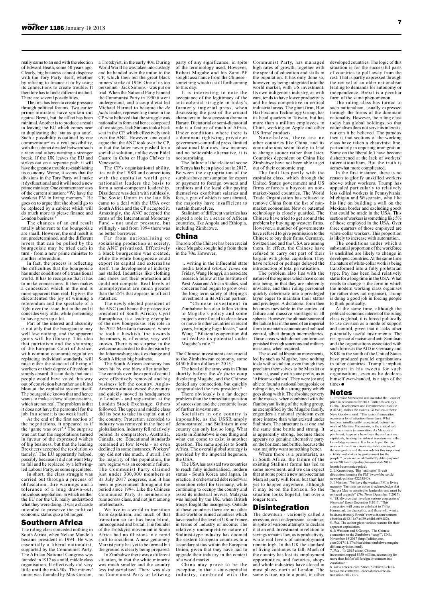really came to an end with the election of Edward Heath, some 50 years ago. Clearly, big business cannot dispense with the Tory Party itself, whether by refusing to finance it or by using its connections to create trouble. It therefore has to find a different method. There are several possibilities.

The first has been to create pressure through political forums. Two earlier prime ministers have spoken out against Brexit, but the effect has been minimal. Another is to produce a result in leaving the EU which comes near to duplicating the 'status quo ante'. Such a possibility is outlined by one commentator<sup>2</sup> as a real possibility, with the cabinet divided between such a view and others wanting a stronger break. If the UK leaves the EU and strikes out on a separate path, it will have the greatest trouble re-establishing its economy. Worse, it seems that the divisions in the Tory Party will make it dysfunctional and it will need a new prime minister. One commentator says of the current situation: "We have the weakest PM in living memory." He goes on to argue that she should go to be replaced by a cabinet which will do much more to please finance and London business.<sup>3</sup>

The chances of an end result totally abhorrent to the bourgeoisie are small. However, the end result is not predetermined, and the different levers that can be pulled by the bourgeoisie may be tried each in turn - from a new prime minister to another referendum.

In fact, the process is reflecting the difficulties that the bourgeoisie has under conditions of a transitional world. It has to recognise that it has to make concessions. It then makes a concession which in the end is more apparent than real. It gives the discontented the joy of winning a referendum and the spectacle of a fight over the issue, but in the end it concedes very little, while pretending to have given up a lot.

Part of the interest and absurdity is not only that the bourgeoisie may well lose nothing, and the apparent gains will be illusory. The idea that patriotism and the shunning of the European Court of Justice, with common economic regulation replacing individual standards, will raise either the standard of living of workers or their degree of freedom is simply absurd. It is unlikely that most people would have voted this way out of conviction but rather as a blind blow at the capitalist system itself. The bourgeoisie knows that and hence wants to make a show of concessions, which are not real. The problem is that it does not have the personnel for the job. In a sense it is too weak itself.

At the end of the first section of the negotiations, it appeared as if the 'game was over'.4 The surprise was not that the negotiations turned in favour of the expressed wishes of big business, but that the leading Brexiteers accepted the resolution so

tamely.5 The EU apparently helped, possibly because it did not want May to fall and be replaced by a leftwingled Labour Party, as some speculated.

In short, the class struggle was carried out through a process of obfuscation, dire warnings and a tolerance of a long drawn-out, ridiculous negotiation, in which neither the EU nor the UK really understood what they were doing. It was a charade intended to preserve the political economic status quo a bit longer.

#### Southern Africa

The ruling class conceded nothing in South Africa, when Nelson Mandela became president in 1994. He was essentially a liberal nationalist, supported by the Communist Party. The African National Congress was founded in 1912 as a mild, middle class organisation. It effectively did very little until the mid-50s. The miners' union was founded by Max Gordon,

The failure of the electoral scene in Kenya has been played out in 2017. Between the expropriation of the surplus above consumption for export or payment to foreign owners and creditors and the local elite paying themselves exorbitant salaries and fees, a part of which is sent abroad, the majority have insufficient to sustain themselves.

a Trotskyist, in the early 40s. During World War II he was taken into custody and he handed over the union to the CP, which then led the great black miners' strike of 1946. One of its top personnel - Jack Simons - was put on trial. When the National Party banned the Communist Party in 1950 it went underground, and a coup d'etat led Michael Harmel to become the *de facto* leader, representing those in the CP who believed that the struggle was nationalist in form and hence composed of two stages. Jack Simons took a back seat in the CP, which effectively took over the ANC. However, one could argue that the ANC took over the CP, in that the latter never pushed for a socialist solution, unlike even Fidel Castro in Cuba or Hugo Chávez in Venezuela.

> "Chinese investment in Zimbabwe has also fallen victim to Mugabe's policy and some projects were forced to close down or move to other countries in recent years, bringing huge losses," said Wang. "Bilateral cooperation did not realize its potential under Mugabe's rule."

The Chinese investments are crucial to the Zimbabwean economy, some \$450 billion dollars in 2015.

The head of the army was in China shortly before the *de facto* coup displacing Mugabe, and the Chinese denied any connection, but quickly congratulated the new president.<sup>8</sup>

The CP's organisational ability, ties with the USSR and connections with the capitalist world gave nationalist leaders the basis to form a semi-competent leadership. Dissidence was dealt with ruthlessly. The Soviet Union in the late 80s came to a deal with the USA over South Africa and the CP accepted it. Amazingly, the ANC accepted the terms of the International Monetary Fund - not under pressure, but willingly - and from 1994 there was no better borrower.

> Socialism in one country is impossible, as the USSR amply demonstrated, and Stalinism in one country can only last so long. What exists in Zimbabwe is one thing and what can come to exist is another question. The same applies to South Africa. The overall global strategy is

Far from nationalising or socialising production or society, the ANC privatised. Effectively a black bourgeoisie was created, while the white bourgeoisie could export its capital and externalise itself. The development of industry has stalled. Industries like clothing and shoes lost their protection and could not compete. Real levels of unemployment are much greater than the 25% that appears in official statistics.

The newly elected president of the ANC (and hence the prospective president of South Africa), Cyril Ramaphosa, is a leading exemplar of the new bourgeoisie. His role in the 2012 Marikana massacre, where he took a hawkish line towards the miners, is, of course, very well known. There is no surprise in the welcome accorded to the decision by the Johannesburg stock exchange and South African big business.

The problem also lies with the nature of the regimes which have come into being, in that they are inherently unviable, and their ruling personnel quickly deteriorate into a privileged layer eager to maintain their status and privileges. A dictatorial form then becomes inevitable in the context of failure and massive shortages in all spheres. However, the ultimate source of the failure lies in the need of an imperial form to maintain economic and political control, albeit through intermediaries. Those areas which do not conform are punished through sanctions and military measures, when required.

The South African economy has been hit by one blow after another. The controls over the export of capital were effectively removed and big business left the country. Anglo-American almost owned the country and quickly moved its headquarters to London - and registration at the London Stock Exchange. Others followed. The upper and middle class did its best to take its capital out of the country. Protection accorded to industry was removed in the face of globalisation. Industry fell relatively behind its comparators, Australia, Canada, etc. Educational standards remained at low levels - or even declined in some instances. Workers' pay did not rise much, if at all. For the majority of the population, the new regime was an economic failure. The Communist Party claimed just under 300,000 members at its July 2017 congress, and it has been in government throughout the period since 1994. Like the Chinese Communist Party its membership runs across class, and not just among intellectuals. We live in a world in transition from capitalism, and much of that transition so far has been blind, unrecognised and brutal. The founder of the Trotskyist movement in South Africa had no illusions in a rapid shift to socialism. A new genuinely Marxist party has yet to be formed but the ground is clearly being prepared. In Zimbabwe there was a different situation, in that the white minority was much smaller and the country less industrialised. There was also no Communist Party or leftwing

party of any significance, in spite of the terminology used. However, Robert Mugabe and his Zanu-PF sought assistance from the Chinese something which is still forthcoming to this day.

It is interesting to note the acceptance of the legitimacy of the anti-colonial struggle in today's formerly imperial press, when discussing the past of the crucial characters in the succession drama in Harare. Dictatorial or semi-dictatorial rule is a feature of much of Africa. Under conditions where there is a dominant rightwing, private or government-controlled press, limited educational facilities, low incomes and no believable alternative, it is not surprising.

> At the same time, although the political-economic interest of the ruling class is global, it is forced politically to use division as a mode of support and control, given that it lacks other potentially useful instruments. The resurgence of racism and anti-Semitism and the organisations associated with such forms as the AfD in Germany and KKK in the south of the United States have produced parallel organisations in other countries. Trump's implicit support in his tweets for such organisations, even as he declares himself even-handed, is a sign of the times  $\bullet$

> 1. Professor Mazzucato was awarded the Leontief prize in economics for 2018. Tufts University's Global Development and Environment Institute (GDAE), makes the awards. GDAE co-director Neva Goodwin said: "The topic of innovation receives a lot of attention these days. What has been insufficiently recognised, before the work of Mariana Mazzucato, is the critical role of governments in innovation. As Mazzucato points out, taxpayers have been the real venture capitalists, funding the riskiest investments in the knowledge economy. It is to be hoped that her work will result in a more equitable sharing of the recognition and the rewards for this important

Stalinism of different varieties has played a role in a series of African countries, like Angola and Ethiopia, including Zimbabwe.

#### China

The role of the Chinese has been crucial since Mugabe sought help from them in the 70s. However,

... writing in the influential state media tabloid *Global Times* on Friday, Wang Hongyi, an associate research fellow at the Institute of West-Asian and African Studies, said concerns had begun to grow over the long-term safety of Beijing's investment in its African partner.

There obviously is a far deeper problem than the immediate question of succession and the economic issue of further investment.

provided by the imperial hegemon, the USA.

The USA has assisted two countries to reach fully industrialised, modern status - South Korea and Japan. In practice, it orchestrated debt relief/war reparation relief for Germany, while continuing to occupy the country and assist its industrial revival. Malaysia was helped by the UK, when British troops fought the insurgency. Outside of these countries there are no other third-world or ruined countries which have reached the level of UK or France in terms of industry or income. The relatively uncompetitive nature of Stalinist-type industry has doomed the eastern European countries to a secondary status within the European Union, given that they have had to upgrade their industry in the context of a world market.

China may prove to be the exception, in that a state-capitalist industry, combined with the Communist Party, has managed high rates of growth, together with the spread of education and skills in the population. It has only done so, however, by being integrated into the world market, with US investment. Its own indigenous industry, as with cars, tends to have lower productivity and be less competitive in critical industrial areas. The giant firm, Hon Hai Foxconn Technology Group, has its head quarters in Taiwan, but has more than a million employees in China, working on Apple and other US firms' products.

Nonetheless, there are no other countries like China, and its contradictions seem likely to lead to change sooner rather than later. Countries dependent on China like Zimbabwe have not been able to get out of their economic trap.

The fault lies partly with the capitalist class, which through the United States government and US firms enforces a boycott on nonmarket-based countries. The World Trade Organisation has refused to remove China from the list of nonmarket economies. New or patented technology is closely guarded. The Chinese have tried to get around the problem by buying up western firms. However, a number of governments have refused to give permission to the Chinese to buy their firms. Germany, Switzerland and the USA are among them. In effect, the Chinese have refused to carry out part of their bargain with global capitalism. They have refused or perhaps delayed the introduction of total privatisation.

The so-called liberation movements, led by such as Mugabe, have nothing to do with socialism, even though they proclaim themselves to be Marxist or socialist, usually with some prefix, as in 'African socialism'. They were (or are) able to found a national bourgeoisie or ruling elite, with a strong party which goes along with it. The absolute poverty of the masses, when combined with the flamboyant living of the ruling group, as exemplified by the Mugabe family, engenders a national cynicism even more intense than what existed under Stalinism. The structure is at one and the same time brittle and strong. It is apparently strong, because there appears no genuine alternative party on the horizon; and brittle, because the vast majority want something better.

Where there is a proletariat, as in South Africa, the failure of the existing Stalinist forms has led to some movement, and we can expect that at some point a new non-sectarian Marxist party will form, but that has yet to happen anywhere, although it may be on the horizon. So the situation looks hopeful, but over a longer term.

#### Disintegration

The downturn - variously called a recession, crisis or depression - continues in spite of various attempts to declare it at an end. Investment in relation to savings remains low, as is productivity, while real levels of unemployment remain high. In the UK the standard of living continues to fall. Much of the country has lost its employment opportunities, and factories, shops and whole industries have closed in most places north of London. The same is true, up to a point, in other

developed countries. The logic of this situation is for the successful parts of countries to pull away from the rest. That is partly expressed through the revival of an older nationalism leading to demands for autonomy or independence. Brexit is a peculiar form of the same phenomenon.

The ruling class has turned to such nationalism, usually expressed through the forms of the dominant nationality. However, the ruling class today has global holdings, so that nationalism does not serve its interests, nor can it be believed. The paradox then is that sections of the working class have taken a chauvinist line, particularly in opposing immigration. Some on the liberal left have become disheartened at the lack of workers' internationalism. But the truth is somewhat more complicated.

In the first instance, there is no reason to glorify unskilled workers above other workers. Trump has appealed particularly to relatively less skilled workers in Pennsylvania, Michigan and Wisconsin, who like his line on building a wall on the Mexican border and excluding goods that could be made in the USA. This section of workers is something like 5% of those employed in the USA. Over three quarters of those employed are white-collar workers. This proportion is likely to increase with automation.

The conditions under which a substantial proportion of the workforce is unskilled are likely to change in developed countries. At the same time the nature of white-collar work is being transformed into a fully proletarian type. Pay has been held relatively static for a long time in the USA. What needs to change is the form in which the modern working class organises (or rather does not organise). Trump is doing a good job in forcing people to think politically.

#### Notes

activity undertaken by government for the people." (www.ucl.ac.uk/bartlett/public-purpose/ news/2017/oct/iipp-director-awarded-2018 leontief-economics-prize).

2. L Kuenssberg, 'Big "end state" Brexit discussion looming for PM' (www.bbc.co.uk/ news/uk-politics-42255840).

3. I Martine: "We have the weakest PM in living memory. The time has come to acknowledge that Theresa May is unsuited to leadership and must be replaced urgently" (*The Times* December 7 2017). 4. 'EU divorce deal involves serious concessions' *Financial Times* December 8 2017: "This concession will come as a delight to Philip Hammond, the chancellor, and those who want a business-friendly Brexit" (www.ft.com/content/ cfacf4ca-dc12-11e7-a039-c64b1c09b482). 5. *Ibid*. The author gives various reasons for their apparent capitulation. 6. B Westcott and S George, 'The Chinese connection to the Zimbabwe "coup"', CNN, November 18 2017 (http://edition.cnn. com/2017/11/17/africa/china-zimbabwe-mugabediplomacy/index.html). 7. *Ibid* . "In 2015 alone, Chinese investment topped \$450 million, accounting for more than half of all foreign investment into Zimbabwe."

8. www.news24.com/Africa/Zimbabwe/chinahails-new-zimbabwe-leader-denies-role-intransition-20171127.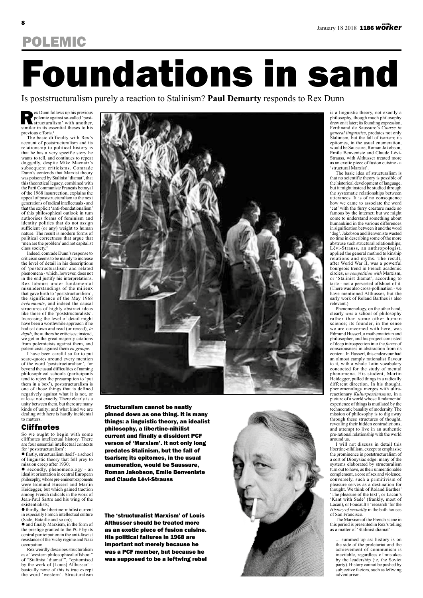## POLEMIC

# Foundations in sand

Is poststructuralism purely a reaction to Stalinism? **Paul Demarty** responds to Rex Dunn

EX Dunn follows up his previous<br>polemic against so-called 'post-<br>structuralism' with another,<br>similar in its essential theses to his polemic against so-called 'poststructuralism' with another, similar in its essential theses to his previous efforts.<sup>1</sup>

The basic difficulty with Rex's account of poststructuralism and its relationship to political history is that he has a very specific story he wants to tell, and continues to repeat doggedly, despite Mike Macnair's subsequent criticisms. Comrade Dunn's contends that Marxist theory was poisoned by Stalinist 'diamat', that this theoretical legacy, combined with the Parti Communiste Français betrayal of the 1968 insurrection, explains the appeal of poststructuralism to the next generations of radical intellectuals - and that the explicit 'anti-foundationalism' of this philosophical outlook in turn authorises forms of feminism and identity politics that do not assign sufficient (or any) weight to human nature. The result is modern forms of political correctness that argue that 'men are the problem' and not capitalist class society.2

Indeed, comrade Dunn's response to criticism seems to be mainly to increase the level of detail in his descriptions of 'poststructuralism' and related phenomena - which, however, does not in the end justify his interpretations. Rex labours under fundamental misunderstandings of the milieux that gave birth to 'poststructuralism', the significance of the May 1968 *événements*, and indeed the causal structures of highly abstract ideas like those of the 'poststructuralists'. Increasing the level of detail might have been a worthwhile approach if he had sat down and read (or reread), *in depth*, the authors he criticises; instead, we get in the great majority citations from polemicists against them, and polemicists against them *en groupe*.

 $\bullet$  thirdly, the libertine-nihilist current in especially French intellectual culture (Sade, Bataille and so on);

I have been careful so far to put scare-quotes around every mention of the word 'poststructuralism', for beyond the usual difficulties of naming philosophical schools (participants tend to reject the presumption to 'put them in a box'), poststructuralism is one of those things that is defined negatively against what it is not, or at least not exactly. There clearly is a unity between them, but there are many kinds of unity; and what kind we are dealing with here is hardly incidental to matters.

#### **Cliffnotes**

So we ought to begin with some cliffnotes intellectual history. There are four essential intellectual contexts for 'poststructuralism':



 firstly, structuralism itself - a school of linguistic theory that fell prey to mission creep after 1930;

 secondly, phenomenology - an idealist orientation in central European philosophy, whose pre-eminent exponents were Edmund Husserl and Martin Heidegger, but which gained traction among French radicals in the work of Jean-Paul Sartre and his wing of the existentialists;

 and finally Marxism, in the form of the prestige granted to the PCF by its central participation in the anti-fascist resistance of the Vichy regime and Nazi occupation.

Rex weirdly describes structuralism as a "western philosophical offshoot" of "Stalinist 'diamat'", "epitomised by the work of [Louis] Althusser" basically none of this is true except the word 'western'. Structuralism

is a linguistic theory, not exactly a philosophy, though much philosophy drew on it later; its founding expression, Ferdinand de Saussure's *Course in general linguistics*, predates not only Stalinism, but the fall of tsarism; its epitomes, in the usual enumeration, would be Saussure, Roman Jakobson, Emile Benveniste and Claude Lévi-Strauss, with Althusser treated more as an exotic piece of fusion cuisine - a 'structural Marxist'.

The basic idea of structuralism is that no scientific theory is possible of the historical development of language, but it might instead be studied through the systematic relationships between utterances. It is of no consequence how we came to associate the word 'cat' with the furry creature made so famous by the internet; but we might come to understand something about humankind in the various differences in signification between it and the word 'dog'. Jakobson and Benveniste wasted no time in describing some of the more abstruse such structural relationships; Lévi-Strauss, an anthropologist, applied the general method to kinship relations and myths. The result, after World War II, was a powerful bourgeois trend in French academic circles, *in competition with* Marxism, or 'Stalinist diamat', according to taste - not a perverted offshoot of it. (There was also cross-pollination - we have mentioned Althusser, but the early work of Roland Barthes is also relevant.)

Phenomenology, on the other hand, clearly *was* a school of philosophy rather than some other human science; its founder, in the sense we are concerned with here, was Edmund Husserl, a mathematician and philosopher, and his project consisted of deep introspection into the *forms* of consciousness in abstraction from its content. In Husserl, this endeavour had an almost camply rationalist flavour to it, with a whole Latin vocabulary concocted for the study of mental phenomena. His student, Martin Heidegger, pulled things in a radically different direction. In his thought, phenomenology merges with ultrareactionary *Kulturpessimismus*, in a picture of a world whose fundamental experience of things is mutilated by the technocratic banality of modernity. The mission of philosophy is to dig away through these structures of thought, revealing their hidden contradictions, and attempt to live in an authentic pre-rational relationship with the world around us.

I will not discuss in detail this libertine-nihilism, except to emphasise

the prominence in poststructuralism of a sort of Dionysiac edge: many of the systems elaborated by structuralism turn out to have, as their unmentionable complement, a core of sex and violence; conversely, such a primitivism of pleasure serves as a destination for thought. We think of Roland Barthes' 'The pleasure of the text', or Lacan's 'Kant with Sade' (frankly, most of Lacan), or Foucault's 'research' for the *History of sexuality* in the bath houses of San Francisco.

The Marxism of the French scene in this period is presented in Rex's telling as a matter of 'Stalinist diamat' -

... summed up as: history is on the side of the proletariat and the achievement of communism is inevitable, regardless of mistakes by the leadership (ie, the Soviet party). History cannot be pushed by subjective factors, such as leftwing adventurism.

Structuralism cannot be neatly pinned down as one thing. It is many things: a linguistic theory, an idealist philosophy, a libertine-nihilist current and finally a dissident PCF verson of 'Marxism'. It not only long predates Stalinism, but the fall of tsarism; its epitomes, in the usual enumeration, would be Saussure, Roman Jakobson, Emile Benveniste and Claude Lévi-Strauss



The 'structuralist Marxism' of Louis Althusser should be treated more as an exotic piece of fusion cuisine. His political failures in 1968 are important not merely because he was a PCF member, but because he was supposed to be a leftwing rebel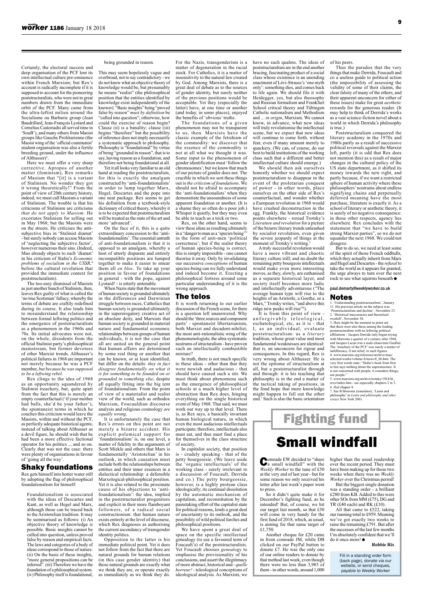Certainly, the electoral success and deep organisation of the PCF lent its own intellectual culture pre-eminence within French Marxism; but Rex's account is radically incomplete if it is supposed to account for the pioneering poststructuralists, who were not in great numbers drawn from the immediate orbit of the PCF. Many came from the ultra-leftist milieu around the Socialisme ou Barbarie group (Jean Baudrillard, Jean-François Lyotard and Cornelius Castoriadis all served time in 'SouB'), and many others from Maoist groups like Gauche Prolétarienne (the Maoist wing of the 'official communist' student organisation was also a fertile breeding ground, under the influence of Althusser)<sup>3</sup>.

Here we must offer a very sharp corrective. Apropos of another matter (feminism), Rex remarks of Maoism that "[it] is a variant of Stalinism. No wonder they got it wrong theoretically!" From the point of view of 20th century history, indeed, we must call Maoism a variant of Stalinism. The trouble is that his criticisms of Stalinism are criticisms *that do not apply to Maoism*. He excoriates Stalinism for selling out in May 1968; but the Maoists were on the streets. He criticises the antisubjective bias in 'Stalinist diamat' - but surely nobody can accuse Maoists of 'neglecting the subjective factor', however numerous their sins. (Indeed, Mao already objects to such 'diamat' in his criticism of Stalin's *Economic problems of socialism in the USSR*, 4 before the cultural revolution that provided the immediate context for poststructuralism).

The too-easy dismissal of Maoists as just another bunch of Stalinists, then, leaves Rex guilty of what is called the 'no true Scotsman' fallacy, whereby the terms of debate are craftily redefined during its course. It also leads him to misunderstand the relationship between formal leftwing politics and the emergence of poststructuralism as a phenomenon in the 1960s and 70s. Its initial advocates were not, on the whole, dissidents from the official Stalinist party's philosophical mainstream, but former devotees of other Marxist trends. Althusser's political failures in 1968 are important not merely because he was a PCF member, *but because he was supposed to be a leftwing rebel*.

Rex clings to the idea of 1968 as an opportunity squandered by Stalinist treachery, but, quite apart from the fact that this is merely an empty counterfactual ('if your mother had balls, she'd be your father'), the spontaneist terms in which he couches this criticism would leave the Maoists, within and without the PCF, as perfectly adequate historical agents; instead of talking about Althusser as a devil figure, he should wish that he had been a more effective factional operator for his politics ... and so on. Clearly that was not the case: there

were plenty of organisations in favour of 'going all the way'.

#### Shaky foundations

Rex gets himself into hotter water still by adopting the flag of philosophical foundationalism for himself:

Foundationalism is associated with the ideas of Descartes and Kant, as well as Hegel and Marx, although those can be traced back to the Aristotelian tradition. It may be summarised as follows: (i) An objective theory of knowledge is possible. Basic insights cannot be called into question, unless proved false by reason and empirical facts. The laws and categories of a body of ideas correspond to those of nature. (ii) On the basis of these insights, "more general propositions can be inferred". (iii) Therefore we have the foundation of a philosophical system. (iv) Philosophy itself is foundational,

#### being grounded in reason.

This may seem hopelessly vague and overbroad, not to say contradictory - we do not know what an objective theory of knowledge would be, but presumably he means "realist" (the philosophical position that the entities identified by knowledge exist independently of the knower). "Basic insights" being "proved false by reason" *must by definition* be "called into question"; otherwise, how could the exercise of reason begin? Clause (ii) is a banality; clause (iii) begins "therefore" but the possibility of inference does not imply necessarily a systematic approach to philosophy. Philosophy is "foundational" by virtue of being "grounded in reason", that is to say, having reason as a foundation, and therefore not being foundational at all.

Yet it all looks very familiar to an old hand at reading the poststructuralists, for this is exactly the amalgam constructed by 'anti-foundationalists' in order to lump together Marx, Hegel, Descartes and the pope into one neat package. Rex seems to get his definition from a textbook-style dictionary of critical theory, whereby it is to be expected that poststructuralism will be treated as the state of the art and more 'advanced'.

On the face of it, this is a quite extraordinary concession to the 'antifoundationalists'. The essential untruth of anti-foundationalism is that it is opposed to an amalgam, whereby a host of utterly disparate and entirely incompatible positions are lumped together to make it easier to smear them all *en bloc*. To take up your position in favour of foundations in general - with the pope, against Lyotard! - is utterly untenable.

When Nazis state that the movement of human society is grounded ultimately in the differences and Darwinian struggle between races, Catholics that human society is grounded ultimately in the supererogatory creative act of an absolute deity, and Marxists that human society is grounded in material nature and fundamental economic relationships between groups of human individuals, it is not the case that all are united on the general point that human affairs are determined by some real thing or another that can be known, or at least identified, but differ on the details: *they in fact disagree fundamentally on what it is for something to be founded on or grounded in something else*, despite all equally fitting into the big tent of foundationalism. From the point of view of a materialist and realist view of the world, such as orthodox Marxism, Foucauldian discourse analysis and religious cosmology *are equally wrong*.

intellectual culture should emerge.) We should then ask ourselves honestly whether we should expect poststructuralism to disappear in the event of the proletarian conquest of power - in other words, place ourselves on the other side of Rex's counterfactual, and wonder whether a European revolution in 1968 would have crushed deconstruction in the egg. Frankly, the historical evidence points elsewhere - reread Trotsky's *Literature and revolution* for a picture of the bizarre literary trends unleashed by socialist revolution, even given the severe jeopardy of things at the moment of Trotsky's writing.

A truly successful revolution would have a more vibrant and chaotic literary culture still; and no doubt the remaining petty bourgeois intellectuals would make even more interesting moves, as they, slowly, are euthanised as a separate historical layer, and society itself becomes more ludic and intellectually adventurous ("The average human type will rise to the heights of an Aristotle, a Goethe, or a Marx," Trotsky writes, "and above this ridge new peaks will rise"<sup>6</sup>).

It is unfortunately the case that Rex's errors on this point are not merely a bizarre accident. His explicit polemical support for 'foundationalism' is, on one level, a matter of fidelity to the arguments of Scott Miekle and others that Marx is fundamentally 'Aristotelian' in his outlook, in which causation must include both the relationships between entities and their inner essences in a dialectical relationship: a defensible Marxological-philosophical position. Yet it is also related to the proximate cause of his objections to 'antifoundationalism': the idea, implied in the poststructuralist progenitors and explicit in their more flamboyant followers, of a radical social constructionism: that human nature exists entirely at the level of discourse, which Rex diagnoses as authorising the current ascendancy of transgender identity politics. Opposition to the latter is his immediate political point. Yet it does not follow from the fact that there are natural grounds for human relations (in this case gender identity) that those natural grounds are exactly what we think they are, or operate exactly as immediately as we think they do.

But to do so, we need at least some of the spirit of those French oddballs, which they actually inherit from Marx and Hegel and Descartes - the *refusal* to take the world as it appears for granted, the urge always to turn over the next rock to see what squirms beneath  $\bullet$ 

For the Nazis, transgenderism is a matter of degeneration in the racial stock. For Catholics, it is a matter of insensitivity to the natural law created by God. Among Marxists, there is a great deal of debate as to the sources of gender identity, but surely neither of the previous positions would be acceptable. Yet they (especially the latter) have, at one time or another (and today, in some places), enjoyed the benefits of 'obvious' truths.

> 3. Here might be the moment to point out that there were also those among the leading poststructuralists with no leftwing political affiliations - Jacques Derrida only began toying with Marxism a quarter of a century after 1968 and Jacques Lacan was a male-chauvinist Gaullist. The 'treachery of the PCF' was surely a matter of indifference, if not relief, to such figures. 4. www.marxists.org/reference/archive/mao/ selected-works/volume-8/mswv8\_66.htm. The very first words state: "Stalin's book from first to last says nothing about the superstructure. It is not concerned with people; it considers things, not people."

The foundations of a given phenomenon may not be transparent to us, then. Marxists have the classic example of the fetishism of the commodity: we discover that the essence of the commodity is not at all what we thought it was. Some input to the phenomenon of gender identification must 'follow the chromosomes'; but we know that much of our picture of gender does not. The crucible in which we sort these things out is *the criticism of foundations*. We should not be afraid to accompany the 'anti-foundationalists' when they demonstrate the unsoundness of some apparent foundation or another. (It is a shame they so often do a poor job.) Whisper it quietly, but they may even be able to teach us a trick or two.

> Comrade EW decided to "share"<br> **A** small windfall" with the *Weekly Worker* to the tune of £50 at the very end of last year - but for some reason we only received his letter after last week's paper went to press.

But the biggest single donation was a standing order - a brilliant £280 from KB. Added to this were other SOs from MM (£75), DG and TR ( $\text{\textsterling}40$  each) and RK ( $\text{\textsterling}10$ ).

All that came to £522, taking our running total to £959. Meaning we've got exactly two weeks to raise the remaining £791. But after the successes of the last few months I'm absolutely confident that we'll  $\overline{d}$  do it once more!

Rex, on the other hand, seems to view these ideas as resulting ultimately in a "danger to man as a 'species being"" in the form of anti-men 'political correctness'; but if the realist theory of human species-being is correct, this is simply impossible - one cannot theorise it away. Only by invalidating our successive *conceptions* of human species-being can we fully understand and indeed become it. Erecting a philosophical fortress around some particular understanding of it is the wrong approach.

#### The telos

It is worth returning to our earlier discussion of the French scene, for there is a question left unanswered. Why should the 'three sources and component parts' - spontaneist libertarianism, both Marxist and decadent-nihilist; the most anti-rationalistic wing of the phenomenologists; the ultra-systematic nostrums of structuralism - have proven such an intellectually combustible mixture?

In truth, there is not much specific to these ideas - other than that they were newish and audacious - that should have caused such a stir. We must think about phenomena such as the emergence of philosophical schools at a much higher level of abstraction than Rex does, hinging everything on the single historical event of May 1968. That said, we must work our way up to that level. There is, as Rex says, a basically invariant human biological nature, in which even the most audacious intellectuals participate; therefore, intellectuals also must eat, and thus must find a place for themselves in the class structure of society.

In capitalist society, that position

is - crudely speaking - that of the petty bourgeoisie. (We leave aside the 'organic intellectuals' of the working class - surely irrelevant to a discussion of Foucault, Derrida and co.) The petty bourgeoisie, however, is a highly protean class ideologically; its continual dissolution by the automatic mechanism of capitalism, and reconstitution by the painstaking effort of the capitalist state for political reasons, lends a great deal of uncertainty to its outlook, and the possibility of wild political lurches and philosophical positions.

We have spent a great deal of space on the specific intellectual genealogy (to use a favoured term of Foucault's) of the poststructuralists. Yet Foucault chooses *genealogy* to emphasise the provisionality of his conclusions, and assert the illegitimacy of more abstract, historical and - *quelle horreur!* - teleological conceptions of ideological analysis. As Marxists, we have no such qualms. The ideas of poststructuralism are in the end another bracing, fascinating product of a social class whose existence is an unending enactment of Lévi-Strauss's 'one myth only': something dies, and comes back to life again. We should file it with Heidegger, yes, but also theosophy and Russian formalism and Frankfurt School critical theory and Tübingen Catholic nationalism and Methodism and ... *in origin*, Marxism. We cannot know, in advance, what new ideas will truly revolutionise the intellectual scene, but we expect that new ideas will continue to come forth, without fear, even if many amount merely to quackery. (We can, of course, do our best to build institutions of the working class such that a different and better

It is from this point of view unforgivably teleological, eschatological, etc, as it is - that I, as an individual, evaluate poststructuralism: as a *literary* tradition, whose great value and most fundamental weaknesses are identical: that is, an unconcern for rigour and consequences. In this regard, Rex is very wrong about Althusser. He is not the epitome of structuralism at all, but a poststructuralist through and through: it is his teaching that philosophy is in the end a matter of the tactical taking of positions, in the fond hope that more knowledge might happen to fall out the other end.7 Such is also the basic orientation of his peers.

Thus the paradox that the very things that make Derrida, Foucault and co a useless guide to political action (the impossibility of assessing the validity of some of their claims, the clear falsity of many of the others, and their apparent unconcern for either of these issues) make for great *aesthetic* rewards for the generous reader. (It may help to think of Derrida's works as a vast science-fiction novel about a world in which Derrida's philosophy is true.)

Poststructuralism conquered the literary academy in the 1970s and 1980s partly as a result of successive political reversals against the Marxist left, partly (it is odd that Rex does not mention this) as a result of major changes in the cultural policy of the US state department, as it shifted its money towards the new right, and partly because, if we want a restricted sphere of human activity where these philosophers' nostrums about endless signifying chains and perpetually deferred meaning have the most purchase, literature is exactly it. As a school of literary or aesthetic theory, it is surely of no negative consequence: in those other respects, agency lies elsewhere. Rex concludes with the statement that "we have to build strong Marxist parties", so we do not squander the next 1968. We could not disagree.

#### paul.demarty@weeklyworker.co.uk

#### Notes

1. 'Understanding poststructuralism', January 11. His previous article on the subject was 'Poststructuralism and decline', November 23. 2. 'Historical inaccuracies and theoretical overkill', November 30.

5. www.marxists.org/archive/trotsky/1924/lit\_ revo/index.htm - see especially chapters 2 to  $\overline{5}$ . 6. *Ibid* chapter 8.

7. See B Brewster (translator), 'Lenin and philosophy' in *Lenin and philosophy and other essays* New York 2001.

> Fill in a standing order form (back page), donate via our website, or send cheques, payable to *Weekly Worker*

So it didn't quite make it for December's fighting fund, as he intended! But, of course, we hit our target last month, so that £50 will come in very handy for the first fund of 2018, which, as usual, is aiming for that same target of £1,750.

Another cheque for £20 came in from comrade JM, while DB clicked on our PayPal button to donate £7. He was the only one of our online readers to donate by that method last week, even though there were no less than 3,985 of them - in other words, around 1,000



higher than the usual readership over the recent period. They must have been making up for those two weeks when there was no *Weekly Worker* over the Christmas period!

#### **Robbie Rix**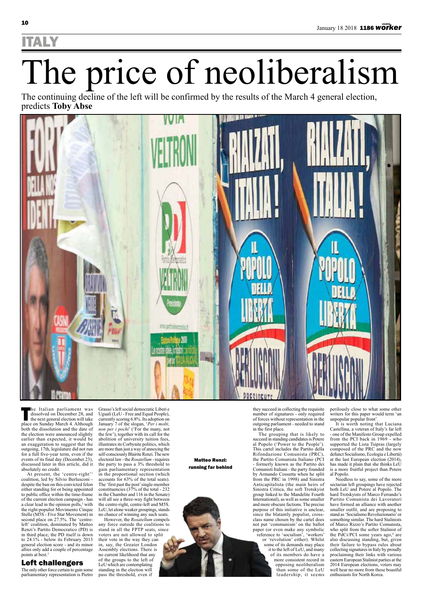# The price of neoliberalism

The continuing decline of the left will be confirmed by the results of the March 4 general election, predicts **Toby Abse**



**Exercise 18 Separate 18 Separature 18 Separate 18 Separate 18 Separate 18 Separate 18 Separate 18 Separate 18 Separate 18 Separate 18 Separate 18 Separate 18 Separate 18 Separate 18 Separate 18 Separate 18 Separate 18 Sep** he Italian parliament was dissolved on December 28, and the next general election will take both the dissolution and the date of the election were announced slightly earlier than expected, it would be an exaggeration to suggest that the outgoing, 17th, legislature did not run for a full five-year term, even if the events of its final day (December 23), discussed later in this article, did it absolutely no credit. At present, the 'centre-right'1 coalition, led by Silvio Berlusconi despite the ban on this convicted felon either standing for or being appointed to public office within the time-frame of the current election campaign - has a clear lead in the opinion polls,<sup>2</sup> with the right-populist Movimento Cinque Stelle (M5S - Five Star Movement) in second place on 27.5%. The 'centreleft' coalition, dominated by Matteo Renzi's Partito Democratico (PD) is in third place; the PD itself is down to  $24.1\%$  - below its February 2013 general election score - and its minor allies only add a couple of percentage points at best.3

#### Left challengers

The only other force certain to gain some parliamentary representation is Pietro

Grasso's left social democratic Liberi e Uguali (LeU - Free and Equal People), currently scoring 6.8%. Its adoption on January 7 of the slogan, '*Per i molti, non per i pochi*' ('For the many, not the few'), together with its call for the abolition of university tuition fees, illustrates its Corbynite politics, which are more than just a way of annoying the self-consciously Blairite Renzi. The new electoral law - the *Rosatellum* - requires the party to pass a 3% threshold to gain parliamentary representation in the proportional section (which accounts for 63% of the total seats). The 'first past the post' single-member



voters are not allowed to split their vote in the way they can in, say, the Greater London Assembly elections. There is no current likelihood that any of the groups to the left of LeU which are contemplating standing in the election will pass the threshold, even if

they succeed in collecting the requisite number of signatures - only required of forces without representation in the outgoing parliament - needed to stand in the first place.

The grouping that is likely to succeed in standing candidates is Potere al Popolo ('Power to the People'). This cartel includes the Partito della

Rifondazione Comunista (PRC), the Partito Comunista Italiano (PCI - formerly known as the Partito dei Comunisti Italiani - the party founded by Armando Cossutta when he split from the PRC in 1998) and Sinistra Anticapitalista (the main heirs of Sinistra Critica, the soft Trotskyist group linked to the Mandelite Fourth International), as well as some smaller and more obscure factions. The precise purpose of this initiative is unclear, since the blatantly populist, crossclass name chosen by the cartel does not put 'communism' on the ballot paper (or even make any symbolic reference to 'socialism', 'workers' or 'revolution' either). Whilst some of its demands may place it to the left of LeU, and many of its members do have a more consistent record in opposing neoliberalism than some of the LeU leadership, it seems

perilously close to what some other writers for this paper would term 'an unpopular popular front'.

It is worth noting that Luciana Castellina, a veteran of Italy's far left - one of the Manifesto Group expelled from the PCI back in 1969 - who supported the Lista Tsipras (largely composed of the PRC and the now defunct Socialismo, Ecologia e Libertà) at the last European election (2014), has made it plain that she thinks LeU is a more fruitful project than Potere al Popolo. Needless to say, some of the more sectarian left groupings have rejected both LeU and Potere al Popolo. The hard Trotskyists of Marco Ferrando's Partito Comunista dei Lavoratori have formed an alliance with another smaller outfit, and are proposing to stand as 'Socialismo Revoluzionario' or something similar. The hard Stalinists of Marco Rizzo's Partito Comunista, who split from the softer Stalinist of the PdCi/PCI some years ago,<sup>4</sup> are also discussing standing, but, given their failure to bypass rules about collecting signatures in Italy by proudly proclaiming their links with various eastern European Stalinist parties at the 2014 European elections, voters may well hear no more from these boastful enthusiasts for North Korea.

#### Matteo Renzi:

#### running far behind

## **ITALY**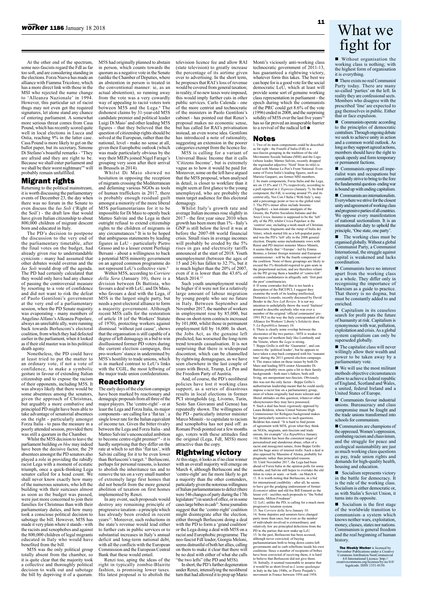#### 11

What we

the highest form of organisation it is everything. ■ There exists no real Communist

Party today. There are many so-called 'parties' on the left. In reality they are confessional sects. Members who disagree with the prescribed 'line' are expected to gag themselves in public. Either that or face expulsion.

 $\blacksquare$  Communists operate according to the principles of democratic centralism. Through ongoing debate we seek to achieve unity in action and a common world outlook. As long as they support agreed actions, members should have the right to speak openly and form temporary or permanent factions.

 $\blacksquare$  Communists oppose all imperialist wars and occupations but constantly strive to bring to the fore the fundamental question–ending war is bound up with ending capitalism.

 $\blacksquare$  Communists are internationalists. Everywhere we strive for the closest unity and agreement of working class and progressive parties of all countries. We oppose every manifestation of national sectionalism. It is an internationalist duty to uphold the principle, 'One state, one party'.

 $\blacksquare$  The working class must be organised globally. Without a global Communist Party, a Communist International, the struggle against capital is weakened and lacks coordination.

 $\blacksquare$  Communists have no interest apart from the working class as a whole. They differ only in recognising the importance of Marxism as a guide to practice. That theory is no dogma, but must be constantly added to and enriched.

■ Capitalism in its ceaseless search for profit puts the future of humanity at risk. Capitalism is synonymous with war, pollution, exploitation and crisis. As a global system capitalism can only be superseded globally.

 $\blacksquare$  The capitalist class will never willingly allow their wealth and power to be taken away by a parliamentary vote.

 $\blacksquare$  We will use the most militant methods objective circumstances allow to achieve a federal republic of England, Scotland and Wales, a united, federal Ireland and a United States of Europe.

Communists favour industrial unions. Bureaucracy and class compromise must be fought and the trade unions transformed into schools for communism.

 $\blacksquare$  Communists are champions of the oppressed. Women's oppression, combating racism and chauvinism, and the struggle for peace and ecological sustainability are just as much working class questions as pay, trade union rights and demands for high-quality health, housing and education.

Socialism represents victory in the battle for democracy. It is the rule of the working class. Socialism is either democratic or, as with Stalin's Soviet Union, it turns into its opposite.

Socialism is the first stage of the worldwide transition to communism–a system which knows neither wars, exploitation, money, classes, states nor nations. Communism is general freedom and the real beginning of human history.

The *Weekly Worker* is licensed by November Publications under a Creative Commons Attribution-NonCommercial 4.0 International Licence: http:// creativecommons.org/licenses/by-nc/4.0/ legalcode. ISSN 1351-0150.

At the other end of the spectrum, some neo-fascists regard the FdI as far too soft, and are considering standing in the elections. Forza Nuova has made an alliance with Fiamma Tricolore, which has a more direct link with those in the MSI who rejected the name change to 'Alleanza Nazionale' in 1994. However, this particular set of racist thugs may not even get the required signatures, let alone stand any chance of entering parliament. A somewhat more serious threat comes from Casa Pound, which has recently scored quite well in local elections in Lucca and Ostia, reaching 9% in the latter case. Casa Pound is more likely to get on the ballot paper, but its secretary, Simone Di Stefano's boastful remarks - "They are afraid and they are right to be. Because we shall enter parliament and we shall be their worst nightmare"<sup>5</sup> will probably remain unfulfilled.

Whilst Di Maio showed no hesitation in opposing the reception of migrants crossing the Mediterranean and defaming various NGOs as tools of human traffickers in 2017, there is probably enough residual guilt amongst a minority of the more liberal M5S parliamentarians for it to be impossible for Di Maio to openly back Matteo Salvini and the Lega in their outright refusal to extend citizenship rights to the children of migrants in any circumstances.8 It is to be hoped that ambiguous statements by leading figures in LeU - particularly Pietro Grasso and to a lesser extent Pierluigi Bersani - about a willingness to back a potential M5S minority government on an agreed common programme do not represent LeU's collective view.<sup>9</sup>

#### Migrant rights

Returning to the political mainstream, it is worth discussing the parliamentary events of December 23, the day when there was no forum in the Senate to even discuss the *Ius Soli* ('Right of the Soil') - the draft law that would have given Italian citizenship to about 800,000 children of migrant descent born and educated in Italy.

The PD's decision to postpone the discussion to the very end of the parliamentary timetable, after the final votes on the budget, had already given rise to understandable cynicism - many had assumed that other debates would overrun and the *Ius Soli* would drop off the agenda. The PD had certainly calculated that they would only have had any chance of passing the controversial measure by resorting to a vote of confidence and did not want to risk the defeat of Paolo Gentiloni's government at the very end of a parliamentary session, when the PD Senate majority was evaporating - many members of Angelino Alfano's Alleanza Popolare, always an unreliable ally, were running back towards Berlusconi's electoral coalition, from which they had defected earlier in the parliament, when it looked as if their old master was in his political death agony.

Nonetheless, the PD could have at least tried to put the matter to an ordinary vote, if not a vote of confidence, to make a symbolic gesture in favour of extending Italian citizenship and to expose the racism of their opponents, including M5S. It was always likely that there would be some absentees among the senators, given the approach of Christmas, but arguably a more combative and principled PD might have been able to take advantage of senatorial absentees on the right - particularly amongst Forza Italia - to pass the measure in a poorly attended session, provided there was still a quorum in the Chamber.

Whilst Italy's growth rate and average Italian incomes rose slightly in 2017 - the first year since 2010 when growth has been more than 1% - Italy's GNP is still below the level it was at before the 2007-08 world financial crisis. Small rises in average incomes will probably be eroded by the 5% rises in gas and electricity tariffs announced at the start of 2018. Youth unemployment (between the ages of 15 and 24) has fallen to 32.7%, but it is much higher than the 20% of 2007, even if it is lower than the 43.6% of March 2014.<sup>13</sup>

Whilst the M5S decision to leave the parliament building *en bloc* may indeed have been the decisive factor, the 29 absentees amongst the PD senators also played a role in providing the rabidly racist Lega with a moment of ecstatic triumph, once a quick-thinking Lega senator called for a head count. We shall never know exactly how many of the numerous senators, who left the building with their suitcases almost as soon as the budget was passed, were just more concerned to join their families for Christmas than with their parliamentary duties, and how many took a conscious political decision to sabotage the bill. However, M5S has made it very plain where it stands - with the racists and xenophobes and against the 800,000 children of legal migrants educated in Italy who would have benefited from the bill. M5S was the only political group totally absent from the chamber, so it is quite clear that the majority took a collective and thoroughly political decision to walk out and sabotage the bill by depriving it of a quorum.

At this stage, it looks as if no clear winner with an overall majority will emerge on March 4, although Berlusconi and the 'centre-right' are far more likely to get a majority than the other contenders, particularly given the notorious willingness of Italian parliamentarians to defect (there were 546 changes of party during the 17th legislature<sup>14</sup>) in search of office, or in some cases large bribes in cash15. Some journalists suggest that the 'centre-right' coalition might disintegrate after the election, either through Berlusconi doing a deal with the PD to form a 'grand coalition' or the Lega doing a deal with M5S on a racist and Europhobic programme. The neo-fascist FdI leader, Giorgia Meloni, seems distrustful of both her allies, calling on them to make it clear that there will be no deal with either of what she calls "the two lefts" (the PD and M5S).

M5S had originally planned to abstain in person, which counts towards the quorum as a negative vote in the Senate (unlike the Chamber of Deputies, where an abstention in person is treated in the conventional manner: ie, as an actual abstention), so running away from the vote was a very cowardly way of appealing to racist voters torn between M5S and the Lega.<sup>6</sup> The dishonest claims by 31-year-old M5S candidate premier and political leader Luigi Di Maio<sup>7</sup> and other leading M5S figures - that they believed that the question of citizenship rights should be solved at the European, rather than the national, level - make no sense at all, given their Europhobic outlook (which was made particularly obvious by the way their MEPs joined Nigel Farage's grouping very soon after their arrival in Brussels in 2014).

has guaranteed a rightwing victory, whatever form this takes. The best we can hope for is a good vote for the social democratic LeU, which at least will provide some sort of genuine working class representation in parliament - the epoch during which the communists of the PRC could get 8.6% of the vote (1996) ended in 2008, and the surprising solidity of M5S over the last five years<sup>16</sup> has so far proved an insuperable barrier to a revival of the radical left  $\bullet$ 

fight for  $\blacksquare$  Without organisation the working class is nothing; with Monti's viciously anti-working class technocratic government of 2011-13,

Within M5S, according to *Corriere della Sera* (January 10), there is a division between Di Battista, who favours a deal with LeU, and Di Maio, who favours a deal with the Lega, if M5S is the largest single party, but needs a post-electoral alliance to form a majority government. Although recent M5S calls for the restoration of article 18 (of the Workers' Statute of 1970), protecting workers against dismissal 'without just cause', shows that the organisation is still capable of a degree of left demagogy in a bid to win disillusioned former PD voters during the current election campaign, this pro-workers' stance in undermined by M5S's hostility to trade unions, which is in marked contrast to LeU's links with the CGIL, the most leftwing of the major trade union confederations.

#### **Reactionary**

and his huge army of internet trolls. Such a deal is also opposed by Massimo d'Alema, probably for pragmatic rather than principled reasons. 10. Until November 2017, the Lega had been ahead of Forza Italia in the opinion polls for some months, and Salvini still hopes to overtake the old felon in votes or seats - or both - on March 4. 11. It is worth noting that Berlusconi, in a bid for international credibility - after all, he seems to have got the grudging endorsement of former *Economist* editor and old foe Bill Emmott as the lesser evil - ascribes such proposals to "the Nobel laureate, Milton Friedman". 12. LeU, unlike the PD, is calling for a much more

The early days of the election campaign have been marked by reactionary and demagogic proposals from all three of the major players. The 'centre-right' - or at least the Lega and Forza Italia, its major components - are calling for a 'flat tax': a single lower rate for the Italian equivalent of income tax. Given the bitter rivalry between the Lega and Forza Italia - and Matteo Salvini's unconcealed ambition to become centre-right premier<sup>10</sup> - it is hardly surprising that they differ on the rate at which to set this 'flat tax', with Salvini calling for it to be even lower than Berlusconi's target.11 Berlusconi, perhaps for personal reasons, is keener to abolish the inheritance tax and to remove the tax on a very small number of extremely large first homes that did not benefit from the more general abolition of taxation on first homes implemented by Renzi. In any event, such proposals would destroy any remaining principle of progressive taxation - a principle which has already been eroded in recent years<sup>12</sup>. Moreover, such reductions in the state's revenue would lead either to further cuts in public services or to substantial increases in Italy's annual deficit and long-term national debt, with all the conflicts with the European Commission and the European Central Bank that these would entail.

Renzi too, aping the ideas of the right in typically zombie-Blairite fashion, is promising lower taxes. His latest proposal is to abolish the

television licence fee and allow RAI (state television) to greatly increase the percentage of its airtime given over to advertising. In the short term, he proposes that RAI's loss of revenue would be covered from general taxation; in reality, if no new taxes were imposed, this would imply further cuts in other public services. Carlo Calenda - one of the more centrist and technocratic of the ministers in Paolo Gentiloni's cabinet - has pointed out that Renzi's proposal makes no economic sense, but has called for RAI's privatisation instead, an even worse idea. Gentiloni has introduced a note of rationality, suggesting an extension in the poorer categories exempt from the licence fee.

M5S is calling for a variant of Universal Basic Income that it calls 'Citizens Income', but is extremely vague as to how it would be paid for. Moreover, some on the left have argued that the M5S proposal, when analysed in detail, is closer to workfare than it might seem at first glance to the young unemployed, who are probably the main target audience for this electoral demagogy.

Such youth unemployment would be higher if it were not for a relatively large amount of labour migration by young people who see no future in Italy. Between September and November 2017, the number of workers in employment rose by 85,000, but those on short-term contracts increased by 101,000, whilst those in permanent employment fell by 16,000. In short, the Jobs Act, as the genuine left predicted, has worsened the long-term trend towards casualisation. It is not surprising that there is widespread discontent, which can be channelled by rightwing demagogues, as we have seen elsewhere in the last couple of years with Brexit, Trump, Le Pen and the Freedom Party of Austria.

And, of course, the PD's neoliberal policies have lost it working class support, as a series of disastrous results in local elections in former PCI strongholds (eg, Livorno, Turin, Sesto San Giovanni and Genoa) has repeatedly shown. The willingness of the PD - particularly interior minister Marco Minniti - to capitulate to racism and xenophobia has not paid off: as Romani Prodi pointed out a few months ago, voters with these attitudes find the original (Lega, FdI, M5S) more attractive than the copy.

#### Rightwing victory

In short, the PD's further degeneration under Renzi, intensifying the neoliberal turn that had allowed it to prop up Mario Notes

1. Two of its main components could be described as far right - the Fratelli d'Italia (FdI) is a neo-fascist grouping in the tradition of the old Movimento Sociale Italiana (MSI) and the Lega (whose leader, Matteo Salvini, recently dropped the regionalist adjective 'Nord' from its title) is allied with Marine Le Pen's Front National. Even some of Forza Italia's leading figures, such as Marizio Gasparri, are former MSI members. 2. Its main components, Forza Italia and the Lega, are on 15.8% and 13.7% respectively, according to a poll reported in *L'Espresso* (January 7). Its third component, the FdI, is scoring around 5% and its centrist ally, Noi Con l'Italia ('With Italy'), may add a percentage point or two to the global total. 3. The PD's minor allies include Insieme (Together) - a last-minute amalgam of the Greens, the Partito Socialista Italiano and the Area Civica. Insieme is supposed to be the 'left' ally of the PD, whilst Civica Popolare is the 'centrist' one, including a mish-mash of Christian Democratic fragments and the rump of Italia dei Valori, which started life as a left-populist party and was the PD's 'left' ally in the 2008 general election. Despite some melodramatic rows with Renzi and PD interior minister Marco Minniti, it seems likely that '+Europa' - led by Emma Bonino, a former foreign minister and European commissioner - will be the fourth component of the coalition. None of these groupings are likely to exceed the 3% threshold required to gain seats in the proportional section, and are therefore reliant on the PD giving them a handful of 'centre-left' coalition candidatures in allegedly safe 'first past

the post' constituencies.

4. If some comrades feel this is too harsh a description of the PdCI/PCI, I suggest they examine the work of its leading intellectual Domenico Losurdo, recently discussed by David Broder in the *New Left Review*. It is not my intention to unhelpfully throw the word 'Stalinist' around to describe anybody who was ever a member of the original 'official communist' pre-1991 PCI in the way the Italy correspondent of the Alliance for Workers' Liberty's *Solidarity* does.

5. *La Repubblica* January 10.

6. There is clearly some overlap between the electorates of the two parties - M5S is weaker in the regions of northern Italy like Lombardy and the Veneto, where the *Lega* is strong. 7. Beppe Grillo is still the 'Guarantor', and can remove the 'political leader', but he appears to have taken a step back compared with his 'tsunami tour' during the 2013 general election campaign. 8. The stance taken on these issues by both Di Maio and leading M5S orator Alessandro Di Battista probably owes quite a bit to their family backgrounds - both men's fathers, both still living, are unrepentant neo-fascists. Obviously this was not the only factor - Beppe Grillo's authoritarian leadership meant that he could easily impose a racist line on a parliamentary group, most of whom originally had more tolerant and liberal attitudes on this question, whatever other idiosyncrasies they may have possessed. 9. Such a deal has been vigorously opposed by Laura Boldrini, whose United Nations High Commissioner for Refugees background makes her particularly sensitive to such questions. Boldrini has stated: "It is hard to find points of agreement with M5S, given what they think on NGOs, migrants, anti-fascism and trade unions, for example" (*La Repubblica* January 14). Boldrini has been the consistent target of personalised and slanderous abuse, often of a racist and misogynist nature, from Beppe Grillo

progressive taxation system. 13. See *Corriere della Sera* January 10. 14. Some deputies and senators have changed party more than once, but even so the number of individuals involved is extraordinary, and relatively few are principled defections from the PD to the parties that now make up LeU. 15. In the past, Berlusconi has been accused, although never convicted, of buying parliamentarians both to bring down centre-left governments and to curb rebellions inside his own coalitions. Since a number of recipients of bribes have been convicted of receiving them, it is hard to believe that Berlusconi did not give them. 16. Initially, it seemed reasonable to assume that it would be as short-lived as *L'uomo qualunque* in Italy in the late 1940s, or Pierre Poujade's movement in France between 1956 and 1958.